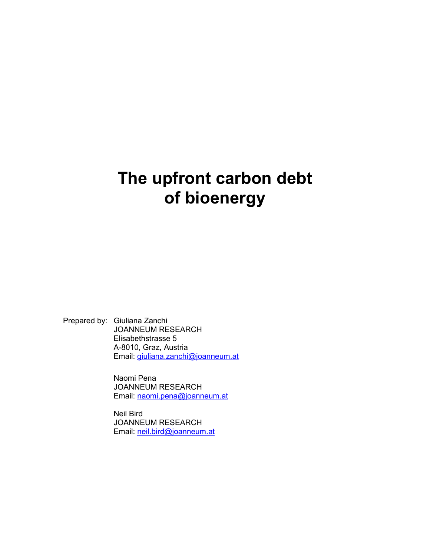# **The upfront carbon debt of bioenergy**

Prepared by: Giuliana Zanchi JOANNEUM RESEARCH Elisabethstrasse 5 A-8010, Graz, Austria Email: giuliana.zanchi@joanneum.at

> Naomi Pena JOANNEUM RESEARCH Email: naomi.pena@joanneum.at

Neil Bird JOANNEUM RESEARCH Email: neil.bird@joanneum.at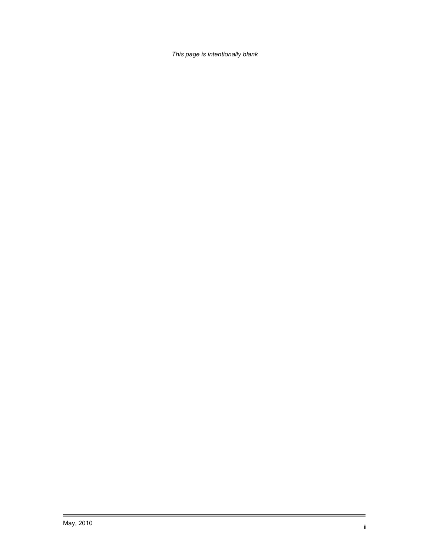*This page is intentionally blank*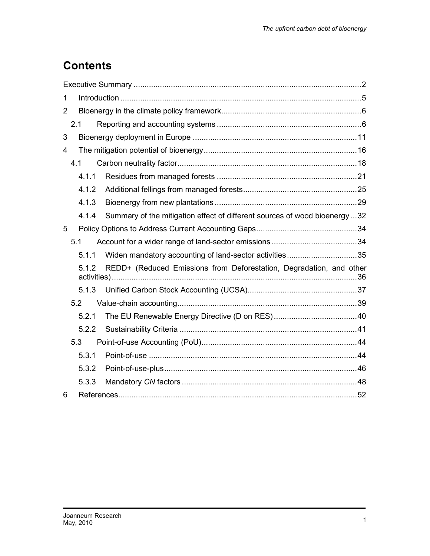## **Contents**

| 1              |       |                                                                           |  |
|----------------|-------|---------------------------------------------------------------------------|--|
| $\overline{2}$ |       |                                                                           |  |
|                | 2.1   |                                                                           |  |
| 3              |       |                                                                           |  |
| 4              |       |                                                                           |  |
|                | 4.1   |                                                                           |  |
|                | 4.1.1 |                                                                           |  |
|                | 4.1.2 |                                                                           |  |
|                | 4.1.3 |                                                                           |  |
|                | 4.1.4 | Summary of the mitigation effect of different sources of wood bioenergy32 |  |
| 5              |       |                                                                           |  |
|                | 5.1   |                                                                           |  |
|                | 5.1.1 | Widen mandatory accounting of land-sector activities35                    |  |
|                | 5.1.2 | REDD+ (Reduced Emissions from Deforestation, Degradation, and other       |  |
|                | 5.1.3 |                                                                           |  |
|                | 5.2   |                                                                           |  |
|                | 5.2.1 |                                                                           |  |
|                | 5.2.2 |                                                                           |  |
|                | 5.3   |                                                                           |  |
|                | 5.3.1 |                                                                           |  |
|                | 5.3.2 |                                                                           |  |
|                | 5.3.3 |                                                                           |  |
| 6              |       |                                                                           |  |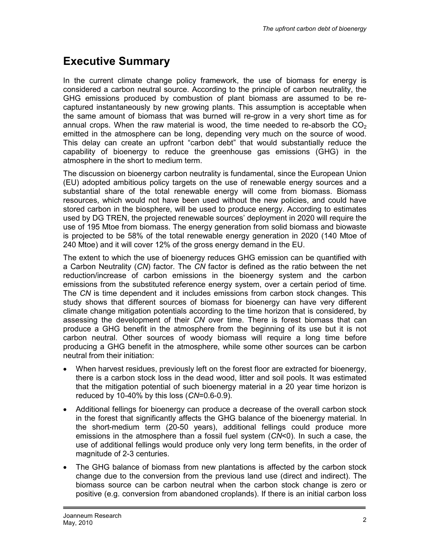## **Executive Summary**

In the current climate change policy framework, the use of biomass for energy is considered a carbon neutral source. According to the principle of carbon neutrality, the GHG emissions produced by combustion of plant biomass are assumed to be recaptured instantaneously by new growing plants. This assumption is acceptable when the same amount of biomass that was burned will re-grow in a very short time as for annual crops. When the raw material is wood, the time needed to re-absorb the  $CO<sub>2</sub>$ emitted in the atmosphere can be long, depending very much on the source of wood. This delay can create an upfront "carbon debt" that would substantially reduce the capability of bioenergy to reduce the greenhouse gas emissions (GHG) in the atmosphere in the short to medium term.

The discussion on bioenergy carbon neutrality is fundamental, since the European Union (EU) adopted ambitious policy targets on the use of renewable energy sources and a substantial share of the total renewable energy will come from biomass. Biomass resources, which would not have been used without the new policies, and could have stored carbon in the biosphere, will be used to produce energy. According to estimates used by DG TREN, the projected renewable sources' deployment in 2020 will require the use of 195 Mtoe from biomass. The energy generation from solid biomass and biowaste is projected to be 58% of the total renewable energy generation in 2020 (140 Mtoe of 240 Mtoe) and it will cover 12% of the gross energy demand in the EU.

The extent to which the use of bioenergy reduces GHG emission can be quantified with a Carbon Neutrality (*CN*) factor. The *CN* factor is defined as the ratio between the net reduction/increase of carbon emissions in the bioenergy system and the carbon emissions from the substituted reference energy system, over a certain period of time. The *CN* is time dependent and it includes emissions from carbon stock changes. This study shows that different sources of biomass for bioenergy can have very different climate change mitigation potentials according to the time horizon that is considered, by assessing the development of their *CN* over time. There is forest biomass that can produce a GHG benefit in the atmosphere from the beginning of its use but it is not carbon neutral. Other sources of woody biomass will require a long time before producing a GHG benefit in the atmosphere, while some other sources can be carbon neutral from their initiation:

- When harvest residues, previously left on the forest floor are extracted for bioenergy, there is a carbon stock loss in the dead wood, litter and soil pools. It was estimated that the mitigation potential of such bioenergy material in a 20 year time horizon is reduced by 10-40% by this loss (*CN*=0.6-0.9).
- Additional fellings for bioenergy can produce a decrease of the overall carbon stock in the forest that significantly affects the GHG balance of the bioenergy material. In the short-medium term (20-50 years), additional fellings could produce more emissions in the atmosphere than a fossil fuel system (*CN*<0). In such a case, the use of additional fellings would produce only very long term benefits, in the order of magnitude of 2-3 centuries.
- The GHG balance of biomass from new plantations is affected by the carbon stock change due to the conversion from the previous land use (direct and indirect). The biomass source can be carbon neutral when the carbon stock change is zero or positive (e.g. conversion from abandoned croplands). If there is an initial carbon loss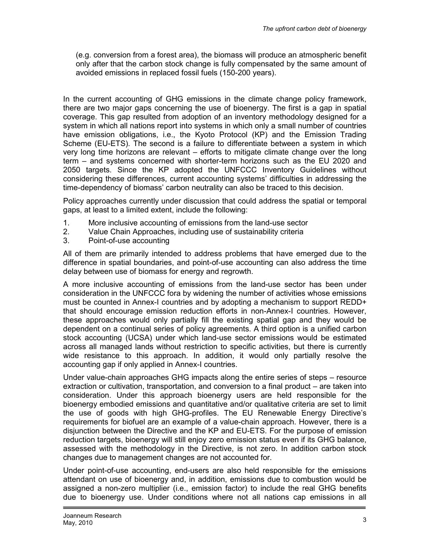(e.g. conversion from a forest area), the biomass will produce an atmospheric benefit only after that the carbon stock change is fully compensated by the same amount of avoided emissions in replaced fossil fuels (150-200 years).

In the current accounting of GHG emissions in the climate change policy framework, there are two major gaps concerning the use of bioenergy. The first is a gap in spatial coverage. This gap resulted from adoption of an inventory methodology designed for a system in which all nations report into systems in which only a small number of countries have emission obligations, i.e., the Kyoto Protocol (KP) and the Emission Trading Scheme (EU-ETS). The second is a failure to differentiate between a system in which very long time horizons are relevant – efforts to mitigate climate change over the long term – and systems concerned with shorter-term horizons such as the EU 2020 and 2050 targets. Since the KP adopted the UNFCCC Inventory Guidelines without considering these differences, current accounting systems' difficulties in addressing the time-dependency of biomass' carbon neutrality can also be traced to this decision.

Policy approaches currently under discussion that could address the spatial or temporal gaps, at least to a limited extent, include the following:

- 1. More inclusive accounting of emissions from the land-use sector
- 2. Value Chain Approaches, including use of sustainability criteria
- 3. Point-of-use accounting

All of them are primarily intended to address problems that have emerged due to the difference in spatial boundaries, and point-of-use accounting can also address the time delay between use of biomass for energy and regrowth.

A more inclusive accounting of emissions from the land-use sector has been under consideration in the UNFCCC fora by widening the number of activities whose emissions must be counted in Annex-I countries and by adopting a mechanism to support REDD+ that should encourage emission reduction efforts in non-Annex-I countries. However, these approaches would only partially fill the existing spatial gap and they would be dependent on a continual series of policy agreements. A third option is a unified carbon stock accounting (UCSA) under which land-use sector emissions would be estimated across all managed lands without restriction to specific activities, but there is currently wide resistance to this approach. In addition, it would only partially resolve the accounting gap if only applied in Annex-I countries.

Under value-chain approaches GHG impacts along the entire series of steps – resource extraction or cultivation, transportation, and conversion to a final product – are taken into consideration. Under this approach bioenergy users are held responsible for the bioenergy embodied emissions and quantitative and/or qualitative criteria are set to limit the use of goods with high GHG-profiles. The EU Renewable Energy Directive's requirements for biofuel are an example of a value-chain approach. However, there is a disjunction between the Directive and the KP and EU-ETS. For the purpose of emission reduction targets, bioenergy will still enjoy zero emission status even if its GHG balance, assessed with the methodology in the Directive, is not zero. In addition carbon stock changes due to management changes are not accounted for.

Under point-of-use accounting, end-users are also held responsible for the emissions attendant on use of bioenergy and, in addition, emissions due to combustion would be assigned a non-zero multiplier (i.e., emission factor) to include the real GHG benefits due to bioenergy use. Under conditions where not all nations cap emissions in all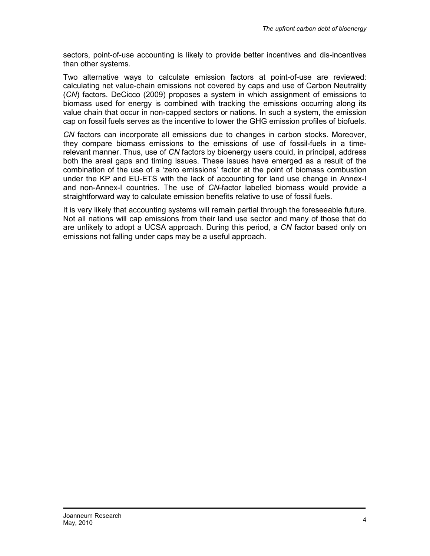sectors, point-of-use accounting is likely to provide better incentives and dis-incentives than other systems.

Two alternative ways to calculate emission factors at point-of-use are reviewed: calculating net value-chain emissions not covered by caps and use of Carbon Neutrality (*CN*) factors. DeCicco (2009) proposes a system in which assignment of emissions to biomass used for energy is combined with tracking the emissions occurring along its value chain that occur in non-capped sectors or nations. In such a system, the emission cap on fossil fuels serves as the incentive to lower the GHG emission profiles of biofuels.

*CN* factors can incorporate all emissions due to changes in carbon stocks. Moreover, they compare biomass emissions to the emissions of use of fossil-fuels in a timerelevant manner. Thus, use of *CN* factors by bioenergy users could, in principal, address both the areal gaps and timing issues. These issues have emerged as a result of the combination of the use of a 'zero emissions' factor at the point of biomass combustion under the KP and EU-ETS with the lack of accounting for land use change in Annex-I and non-Annex-I countries. The use of *CN*-factor labelled biomass would provide a straightforward way to calculate emission benefits relative to use of fossil fuels.

It is very likely that accounting systems will remain partial through the foreseeable future. Not all nations will cap emissions from their land use sector and many of those that do are unlikely to adopt a UCSA approach. During this period, a *CN* factor based only on emissions not falling under caps may be a useful approach.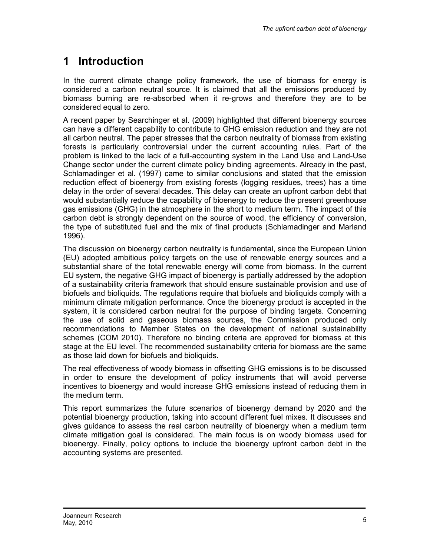## **1 Introduction**

In the current climate change policy framework, the use of biomass for energy is considered a carbon neutral source. It is claimed that all the emissions produced by biomass burning are re-absorbed when it re-grows and therefore they are to be considered equal to zero.

A recent paper by Searchinger et al. (2009) highlighted that different bioenergy sources can have a different capability to contribute to GHG emission reduction and they are not all carbon neutral. The paper stresses that the carbon neutrality of biomass from existing forests is particularly controversial under the current accounting rules. Part of the problem is linked to the lack of a full-accounting system in the Land Use and Land-Use Change sector under the current climate policy binding agreements. Already in the past, Schlamadinger et al. (1997) came to similar conclusions and stated that the emission reduction effect of bioenergy from existing forests (logging residues, trees) has a time delay in the order of several decades. This delay can create an upfront carbon debt that would substantially reduce the capability of bioenergy to reduce the present greenhouse gas emissions (GHG) in the atmosphere in the short to medium term. The impact of this carbon debt is strongly dependent on the source of wood, the efficiency of conversion, the type of substituted fuel and the mix of final products (Schlamadinger and Marland 1996).

The discussion on bioenergy carbon neutrality is fundamental, since the European Union (EU) adopted ambitious policy targets on the use of renewable energy sources and a substantial share of the total renewable energy will come from biomass. In the current EU system, the negative GHG impact of bioenergy is partially addressed by the adoption of a sustainability criteria framework that should ensure sustainable provision and use of biofuels and bioliquids. The regulations require that biofuels and bioliquids comply with a minimum climate mitigation performance. Once the bioenergy product is accepted in the system, it is considered carbon neutral for the purpose of binding targets. Concerning the use of solid and gaseous biomass sources, the Commission produced only recommendations to Member States on the development of national sustainability schemes (COM 2010). Therefore no binding criteria are approved for biomass at this stage at the EU level. The recommended sustainability criteria for biomass are the same as those laid down for biofuels and bioliquids.

The real effectiveness of woody biomass in offsetting GHG emissions is to be discussed in order to ensure the development of policy instruments that will avoid perverse incentives to bioenergy and would increase GHG emissions instead of reducing them in the medium term.

This report summarizes the future scenarios of bioenergy demand by 2020 and the potential bioenergy production, taking into account different fuel mixes. It discusses and gives guidance to assess the real carbon neutrality of bioenergy when a medium term climate mitigation goal is considered. The main focus is on woody biomass used for bioenergy. Finally, policy options to include the bioenergy upfront carbon debt in the accounting systems are presented.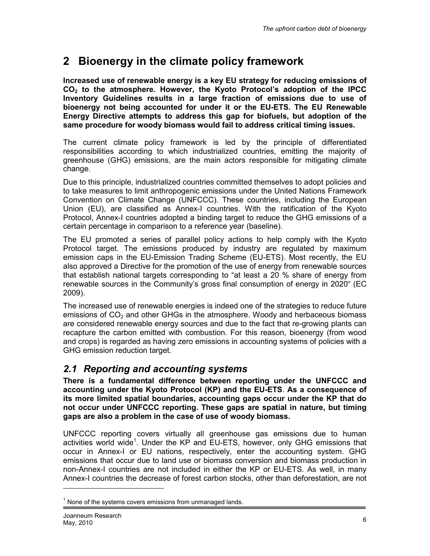## **2 Bioenergy in the climate policy framework**

**Increased use of renewable energy is a key EU strategy for reducing emissions of CO2 to the atmosphere. However, the Kyoto Protocol's adoption of the IPCC Inventory Guidelines results in a large fraction of emissions due to use of bioenergy not being accounted for under it or the EU-ETS. The EU Renewable Energy Directive attempts to address this gap for biofuels, but adoption of the same procedure for woody biomass would fail to address critical timing issues.**

The current climate policy framework is led by the principle of differentiated responsibilities according to which industrialized countries, emitting the majority of greenhouse (GHG) emissions, are the main actors responsible for mitigating climate change.

Due to this principle, industrialized countries committed themselves to adopt policies and to take measures to limit anthropogenic emissions under the United Nations Framework Convention on Climate Change (UNFCCC). These countries, including the European Union (EU), are classified as Annex-I countries. With the ratification of the Kyoto Protocol, Annex-I countries adopted a binding target to reduce the GHG emissions of a certain percentage in comparison to a reference year (baseline).

The EU promoted a series of parallel policy actions to help comply with the Kyoto Protocol target. The emissions produced by industry are regulated by maximum emission caps in the EU-Emission Trading Scheme (EU-ETS). Most recently, the EU also approved a Directive for the promotion of the use of energy from renewable sources that establish national targets corresponding to "at least a 20 % share of energy from renewable sources in the Community's gross final consumption of energy in 2020" (EC 2009).

The increased use of renewable energies is indeed one of the strategies to reduce future emissions of  $CO<sub>2</sub>$  and other GHGs in the atmosphere. Woody and herbaceous biomass are considered renewable energy sources and due to the fact that re-growing plants can recapture the carbon emitted with combustion. For this reason, bioenergy (from wood and crops) is regarded as having zero emissions in accounting systems of policies with a GHG emission reduction target.

### *2.1 Reporting and accounting systems*

**There is a fundamental difference between reporting under the UNFCCC and accounting under the Kyoto Protocol (KP) and the EU-ETS**. **As a consequence of its more limited spatial boundaries, accounting gaps occur under the KP that do not occur under UNFCCC reporting. These gaps are spatial in nature, but timing gaps are also a problem in the case of use of woody biomass.**

UNFCCC reporting covers virtually all greenhouse gas emissions due to human activities world wide<sup>1</sup>. Under the KP and EU-ETS, however, only GHG emissions that occur in Annex-I or EU nations, respectively, enter the accounting system. GHG emissions that occur due to land use or biomass conversion and biomass production in non-Annex-I countries are not included in either the KP or EU-ETS. As well, in many Annex-I countries the decrease of forest carbon stocks, other than deforestation, are not

-

 $1$  None of the systems covers emissions from unmanaged lands.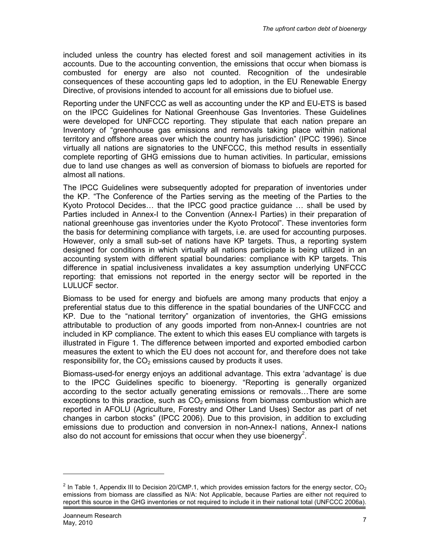included unless the country has elected forest and soil management activities in its accounts. Due to the accounting convention, the emissions that occur when biomass is combusted for energy are also not counted. Recognition of the undesirable consequences of these accounting gaps led to adoption, in the EU Renewable Energy Directive, of provisions intended to account for all emissions due to biofuel use.

Reporting under the UNFCCC as well as accounting under the KP and EU-ETS is based on the IPCC Guidelines for National Greenhouse Gas Inventories. These Guidelines were developed for UNFCCC reporting. They stipulate that each nation prepare an Inventory of "greenhouse gas emissions and removals taking place within national territory and offshore areas over which the country has jurisdiction" (IPCC 1996). Since virtually all nations are signatories to the UNFCCC, this method results in essentially complete reporting of GHG emissions due to human activities. In particular, emissions due to land use changes as well as conversion of biomass to biofuels are reported for almost all nations.

The IPCC Guidelines were subsequently adopted for preparation of inventories under the KP. "The Conference of the Parties serving as the meeting of the Parties to the Kyoto Protocol Decides… that the IPCC good practice guidance … shall be used by Parties included in Annex-I to the Convention (Annex-I Parties) in their preparation of national greenhouse gas inventories under the Kyoto Protocol". These inventories form the basis for determining compliance with targets, i.e. are used for accounting purposes. However, only a small sub-set of nations have KP targets. Thus, a reporting system designed for conditions in which virtually all nations participate is being utilized in an accounting system with different spatial boundaries: compliance with KP targets. This difference in spatial inclusiveness invalidates a key assumption underlying UNFCCC reporting: that emissions not reported in the energy sector will be reported in the LULUCF sector.

Biomass to be used for energy and biofuels are among many products that enjoy a preferential status due to this difference in the spatial boundaries of the UNFCCC and KP. Due to the "national territory" organization of inventories, the GHG emissions attributable to production of any goods imported from non-Annex-I countries are not included in KP compliance. The extent to which this eases EU compliance with targets is illustrated in Figure 1. The difference between imported and exported embodied carbon measures the extent to which the EU does not account for, and therefore does not take responsibility for, the  $CO<sub>2</sub>$  emissions caused by products it uses.

Biomass-used-for energy enjoys an additional advantage. This extra 'advantage' is due to the IPCC Guidelines specific to bioenergy. "Reporting is generally organized according to the sector actually generating emissions or removals…There are some exceptions to this practice, such as  $CO<sub>2</sub>$  emissions from biomass combustion which are reported in AFOLU (Agriculture, Forestry and Other Land Uses) Sector as part of net changes in carbon stocks" (IPCC 2006). Due to this provision, in addition to excluding emissions due to production and conversion in non-Annex-I nations, Annex-I nations also do not account for emissions that occur when they use bioenergy<sup>2</sup>.

-

<sup>&</sup>lt;sup>2</sup> In Table 1, Appendix III to Decision 20/CMP.1, which provides emission factors for the energy sector, CO<sub>2</sub> emissions from biomass are classified as N/A: Not Applicable, because Parties are either not required to report this source in the GHG inventories or not required to include it in their national total (UNFCCC 2006a).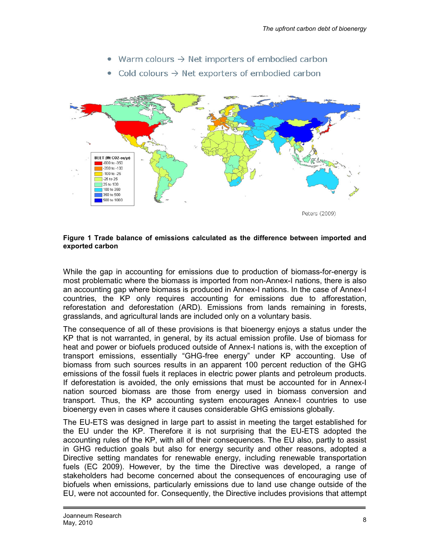

- Warm colours  $\rightarrow$  Net importers of embodied carbon
- Cold colours  $\rightarrow$  Net exporters of embodied carbon

#### **Figure 1 Trade balance of emissions calculated as the difference between imported and exported carbon**

While the gap in accounting for emissions due to production of biomass-for-energy is most problematic where the biomass is imported from non-Annex-I nations, there is also an accounting gap where biomass is produced in Annex-I nations. In the case of Annex-I countries, the KP only requires accounting for emissions due to afforestation, reforestation and deforestation (ARD). Emissions from lands remaining in forests, grasslands, and agricultural lands are included only on a voluntary basis.

The consequence of all of these provisions is that bioenergy enjoys a status under the KP that is not warranted, in general, by its actual emission profile. Use of biomass for heat and power or biofuels produced outside of Annex-I nations is, with the exception of transport emissions, essentially "GHG-free energy" under KP accounting. Use of biomass from such sources results in an apparent 100 percent reduction of the GHG emissions of the fossil fuels it replaces in electric power plants and petroleum products. If deforestation is avoided, the only emissions that must be accounted for in Annex-I nation sourced biomass are those from energy used in biomass conversion and transport. Thus, the KP accounting system encourages Annex-I countries to use bioenergy even in cases where it causes considerable GHG emissions globally.

The EU-ETS was designed in large part to assist in meeting the target established for the EU under the KP. Therefore it is not surprising that the EU-ETS adopted the accounting rules of the KP, with all of their consequences. The EU also, partly to assist in GHG reduction goals but also for energy security and other reasons, adopted a Directive setting mandates for renewable energy, including renewable transportation fuels (EC 2009). However, by the time the Directive was developed, a range of stakeholders had become concerned about the consequences of encouraging use of biofuels when emissions, particularly emissions due to land use change outside of the EU, were not accounted for. Consequently, the Directive includes provisions that attempt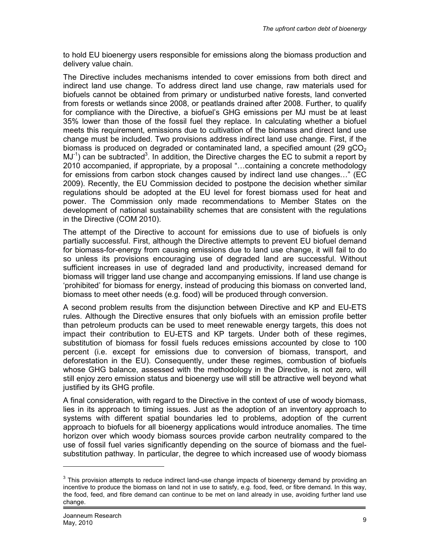to hold EU bioenergy users responsible for emissions along the biomass production and delivery value chain.

The Directive includes mechanisms intended to cover emissions from both direct and indirect land use change. To address direct land use change, raw materials used for biofuels cannot be obtained from primary or undisturbed native forests, land converted from forests or wetlands since 2008, or peatlands drained after 2008. Further, to qualify for compliance with the Directive, a biofuel's GHG emissions per MJ must be at least 35% lower than those of the fossil fuel they replace. In calculating whether a biofuel meets this requirement, emissions due to cultivation of the biomass and direct land use change must be included. Two provisions address indirect land use change. First, if the biomass is produced on degraded or contaminated land, a specified amount (29  $\alpha$ CO<sub>2</sub>)  $MJ<sup>-1</sup>$ ) can be subtracted<sup>3</sup>. In addition, the Directive charges the EC to submit a report by 2010 accompanied, if appropriate, by a proposal "…containing a concrete methodology for emissions from carbon stock changes caused by indirect land use changes…" (EC 2009). Recently, the EU Commission decided to postpone the decision whether similar regulations should be adopted at the EU level for forest biomass used for heat and power. The Commission only made recommendations to Member States on the development of national sustainability schemes that are consistent with the regulations in the Directive (COM 2010).

The attempt of the Directive to account for emissions due to use of biofuels is only partially successful. First, although the Directive attempts to prevent EU biofuel demand for biomass-for-energy from causing emissions due to land use change, it will fail to do so unless its provisions encouraging use of degraded land are successful. Without sufficient increases in use of degraded land and productivity, increased demand for biomass will trigger land use change and accompanying emissions. If land use change is 'prohibited' for biomass for energy, instead of producing this biomass on converted land, biomass to meet other needs (e.g. food) will be produced through conversion.

A second problem results from the disjunction between Directive and KP and EU-ETS rules. Although the Directive ensures that only biofuels with an emission profile better than petroleum products can be used to meet renewable energy targets, this does not impact their contribution to EU-ETS and KP targets. Under both of these regimes, substitution of biomass for fossil fuels reduces emissions accounted by close to 100 percent (i.e. except for emissions due to conversion of biomass, transport, and deforestation in the EU). Consequently, under these regimes, combustion of biofuels whose GHG balance, assessed with the methodology in the Directive, is not zero, will still enjoy zero emission status and bioenergy use will still be attractive well beyond what justified by its GHG profile.

A final consideration, with regard to the Directive in the context of use of woody biomass, lies in its approach to timing issues. Just as the adoption of an inventory approach to systems with different spatial boundaries led to problems, adoption of the current approach to biofuels for all bioenergy applications would introduce anomalies. The time horizon over which woody biomass sources provide carbon neutrality compared to the use of fossil fuel varies significantly depending on the source of biomass and the fuelsubstitution pathway. In particular, the degree to which increased use of woody biomass

 $\overline{a}$ 

 $3$  This provision attempts to reduce indirect land-use change impacts of bioenergy demand by providing an incentive to produce the biomass on land not in use to satisfy, e.g. food, feed, or fibre demand. In this way, the food, feed, and fibre demand can continue to be met on land already in use, avoiding further land use change.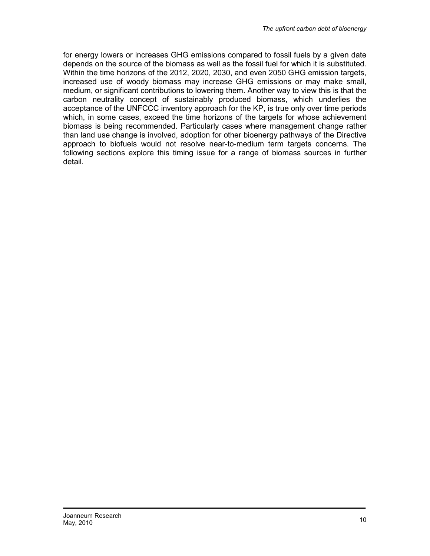for energy lowers or increases GHG emissions compared to fossil fuels by a given date depends on the source of the biomass as well as the fossil fuel for which it is substituted. Within the time horizons of the 2012, 2020, 2030, and even 2050 GHG emission targets, increased use of woody biomass may increase GHG emissions or may make small, medium, or significant contributions to lowering them. Another way to view this is that the carbon neutrality concept of sustainably produced biomass, which underlies the acceptance of the UNFCCC inventory approach for the KP, is true only over time periods which, in some cases, exceed the time horizons of the targets for whose achievement biomass is being recommended. Particularly cases where management change rather than land use change is involved, adoption for other bioenergy pathways of the Directive approach to biofuels would not resolve near-to-medium term targets concerns. The following sections explore this timing issue for a range of biomass sources in further detail.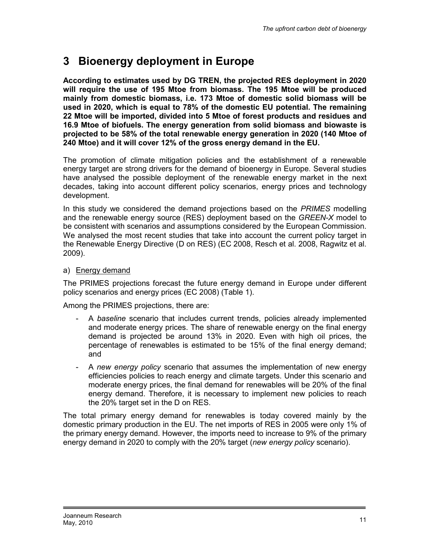## **3 Bioenergy deployment in Europe**

**According to estimates used by DG TREN, the projected RES deployment in 2020 will require the use of 195 Mtoe from biomass. The 195 Mtoe will be produced mainly from domestic biomass, i.e. 173 Mtoe of domestic solid biomass will be used in 2020, which is equal to 78% of the domestic EU potential. The remaining 22 Mtoe will be imported, divided into 5 Mtoe of forest products and residues and 16.9 Mtoe of biofuels. The energy generation from solid biomass and biowaste is projected to be 58% of the total renewable energy generation in 2020 (140 Mtoe of 240 Mtoe) and it will cover 12% of the gross energy demand in the EU.** 

The promotion of climate mitigation policies and the establishment of a renewable energy target are strong drivers for the demand of bioenergy in Europe. Several studies have analysed the possible deployment of the renewable energy market in the next decades, taking into account different policy scenarios, energy prices and technology development.

In this study we considered the demand projections based on the *PRIMES* modelling and the renewable energy source (RES) deployment based on the *GREEN-X* model to be consistent with scenarios and assumptions considered by the European Commission. We analysed the most recent studies that take into account the current policy target in the Renewable Energy Directive (D on RES) (EC 2008, Resch et al. 2008, Ragwitz et al. 2009).

a) Energy demand

The PRIMES projections forecast the future energy demand in Europe under different policy scenarios and energy prices (EC 2008) (Table 1).

Among the PRIMES projections, there are:

- A *baseline* scenario that includes current trends, policies already implemented and moderate energy prices. The share of renewable energy on the final energy demand is projected be around 13% in 2020. Even with high oil prices, the percentage of renewables is estimated to be 15% of the final energy demand; and
- A *new energy policy* scenario that assumes the implementation of new energy efficiencies policies to reach energy and climate targets. Under this scenario and moderate energy prices, the final demand for renewables will be 20% of the final energy demand. Therefore, it is necessary to implement new policies to reach the 20% target set in the D on RES.

The total primary energy demand for renewables is today covered mainly by the domestic primary production in the EU. The net imports of RES in 2005 were only 1% of the primary energy demand. However, the imports need to increase to 9% of the primary energy demand in 2020 to comply with the 20% target (*new energy policy* scenario).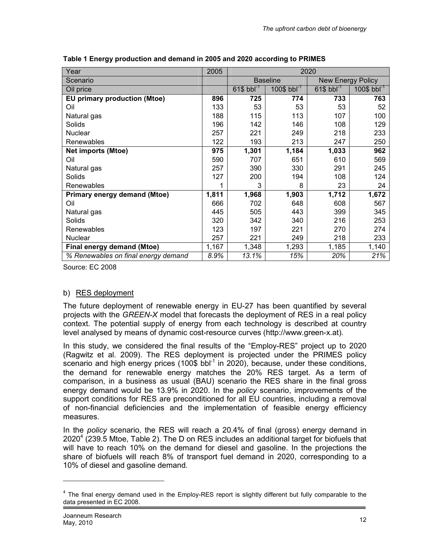| Year                                |       | 2020                    |                          |                          |                          |  |  |
|-------------------------------------|-------|-------------------------|--------------------------|--------------------------|--------------------------|--|--|
| Scenario                            |       | <b>Baseline</b>         |                          | <b>New Energy Policy</b> |                          |  |  |
| Oil price                           |       | $61\$ bbl <sup>-1</sup> | $100\$ bbl <sup>-1</sup> | $61\$ bbl <sup>-1</sup>  | $100\$ bbl <sup>-1</sup> |  |  |
| <b>EU primary production (Mtoe)</b> | 896   | 725                     | 774                      | 733                      | 763                      |  |  |
| Oil                                 | 133   | 53                      | 53                       | 53                       | 52                       |  |  |
| Natural gas                         | 188   | 115                     | 113                      | 107                      | 100                      |  |  |
| Solids                              | 196   | 142                     | 146                      | 108                      | 129                      |  |  |
| <b>Nuclear</b>                      | 257   | 221                     | 249                      | 218                      | 233                      |  |  |
| Renewables                          | 122   | 193                     | 213                      | 247                      | 250                      |  |  |
| <b>Net imports (Mtoe)</b>           | 975   | 1,301                   | 1,184                    | 1,033                    | 962                      |  |  |
| Oil                                 | 590   | 707                     | 651                      | 610                      | 569                      |  |  |
| Natural gas                         | 257   | 390                     | 330                      | 291                      | 245                      |  |  |
| Solids                              | 127   | 200                     | 194                      | 108                      | 124                      |  |  |
| Renewables                          | 1     | 3                       | 8                        | 23                       | 24                       |  |  |
| <b>Primary energy demand (Mtoe)</b> | 1,811 | 1,968                   | 1,903                    | 1,712                    | 1,672                    |  |  |
| Oil                                 | 666   | 702                     | 648                      | 608                      | 567                      |  |  |
| Natural gas                         | 445   | 505                     | 443                      | 399                      | 345                      |  |  |
| Solids                              | 320   | 342                     | 340                      | 216                      | 253                      |  |  |
| Renewables                          | 123   | 197                     | 221                      | 270                      | 274                      |  |  |
| <b>Nuclear</b>                      | 257   | 221                     | 249                      | 218                      | 233                      |  |  |
| Final energy demand (Mtoe)          | 1,167 | 1,348                   | 1,293                    | 1,185                    | 1,140                    |  |  |
| % Renewables on final energy demand | 8.9%  | 13.1%                   | 15%                      | 20%                      | 21%                      |  |  |

**Table 1 Energy production and demand in 2005 and 2020 according to PRIMES** 

Source: EC 2008

#### b) RES deployment

The future deployment of renewable energy in EU-27 has been quantified by several projects with the *GREEN-X* model that forecasts the deployment of RES in a real policy context. The potential supply of energy from each technology is described at country level analysed by means of dynamic cost-resource curves (http://www.green-x.at).

In this study, we considered the final results of the "Employ-RES" project up to 2020 (Ragwitz et al. 2009). The RES deployment is projected under the PRIMES policy scenario and high energy prices (100\$ bb $1^1$  in 2020), because, under these conditions, the demand for renewable energy matches the 20% RES target. As a term of comparison, in a business as usual (BAU) scenario the RES share in the final gross energy demand would be 13.9% in 2020. In the *policy* scenario, improvements of the support conditions for RES are preconditioned for all EU countries, including a removal of non-financial deficiencies and the implementation of feasible energy efficiency measures.

In the *policy* scenario, the RES will reach a 20.4% of final (gross) energy demand in  $2020<sup>4</sup>$  (239.5 Mtoe, Table 2). The D on RES includes an additional target for biofuels that will have to reach 10% on the demand for diesel and gasoline. In the projections the share of biofuels will reach 8% of transport fuel demand in 2020, corresponding to a 10% of diesel and gasoline demand.

-

<sup>&</sup>lt;sup>4</sup> The final energy demand used in the Employ-RES report is slightly different but fully comparable to the data presented in EC 2008.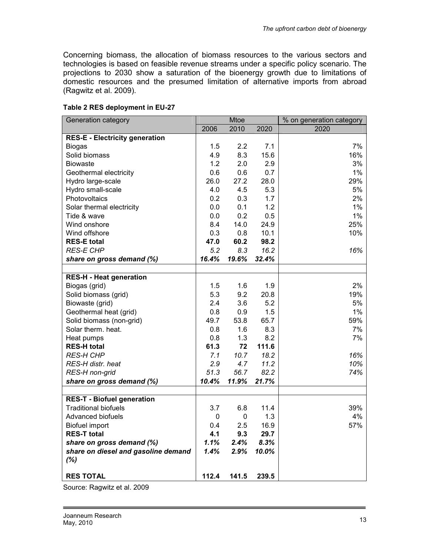Concerning biomass, the allocation of biomass resources to the various sectors and technologies is based on feasible revenue streams under a specific policy scenario. The projections to 2030 show a saturation of the bioenergy growth due to limitations of domestic resources and the presumed limitation of alternative imports from abroad (Ragwitz et al. 2009).

| Table 2 RES deployment in EU-27 |  |
|---------------------------------|--|
|---------------------------------|--|

| Generation category                   | Mtoe      |       |       | % on generation category |  |
|---------------------------------------|-----------|-------|-------|--------------------------|--|
|                                       | 2006      | 2010  | 2020  | 2020                     |  |
| <b>RES-E - Electricity generation</b> |           |       |       |                          |  |
| <b>Biogas</b>                         | 1.5       | 2.2   | 7.1   | 7%                       |  |
| Solid biomass                         | 4.9       | 8.3   | 15.6  | 16%                      |  |
| <b>Biowaste</b>                       | 1.2       | 2.0   | 2.9   | 3%                       |  |
| Geothermal electricity                | 0.6       | 0.6   | 0.7   | 1%                       |  |
| Hydro large-scale                     | 26.0      | 27.2  | 28.0  | 29%                      |  |
| Hydro small-scale                     | 4.0       | 4.5   | 5.3   | 5%                       |  |
| Photovoltaics                         | 0.2       | 0.3   | 1.7   | 2%                       |  |
| Solar thermal electricity             | 0.0       | 0.1   | 1.2   | 1%                       |  |
| Tide & wave                           | 0.0       | 0.2   | 0.5   | 1%                       |  |
| Wind onshore                          | 8.4       | 14.0  | 24.9  | 25%                      |  |
| Wind offshore                         | 0.3       | 0.8   | 10.1  | 10%                      |  |
| <b>RES-E total</b>                    | 47.0      | 60.2  | 98.2  |                          |  |
| RES-E CHP                             | 5.2       | 8.3   | 16.2  | 16%                      |  |
| share on gross demand (%)             | 16.4%     | 19.6% | 32.4% |                          |  |
|                                       |           |       |       |                          |  |
| <b>RES-H - Heat generation</b>        |           |       |       |                          |  |
| Biogas (grid)                         | 1.5       | 1.6   | 1.9   | 2%                       |  |
| Solid biomass (grid)                  | 5.3       | 9.2   | 20.8  | 19%                      |  |
| Biowaste (grid)                       | 2.4       | 3.6   | 5.2   | 5%                       |  |
| Geothermal heat (grid)                | 0.8       | 0.9   | 1.5   | 1%                       |  |
| Solid biomass (non-grid)              | 49.7      | 53.8  | 65.7  | 59%                      |  |
| Solar therm. heat.                    | 0.8       | 1.6   | 8.3   | 7%                       |  |
| Heat pumps                            | 0.8       | 1.3   | 8.2   | 7%                       |  |
| <b>RES-H total</b>                    | 61.3      | 72    | 111.6 |                          |  |
| RES-H CHP                             | 7.1       | 10.7  | 18.2  | 16%                      |  |
| RES-H distr. heat                     | 2.9       | 4.7   | 11.2  | 10%                      |  |
| RES-H non-grid                        | 51.3      | 56.7  | 82.2  | 74%                      |  |
| share on gross demand (%)             | 10.4%     | 11.9% | 21.7% |                          |  |
|                                       |           |       |       |                          |  |
| <b>RES-T - Biofuel generation</b>     |           |       |       |                          |  |
| <b>Traditional biofuels</b>           | 3.7       | 6.8   | 11.4  | 39%                      |  |
| Advanced biofuels                     | $\pmb{0}$ | 0     | 1.3   | 4%                       |  |
| <b>Biofuel import</b>                 | 0.4       | 2.5   | 16.9  | 57%                      |  |
| <b>RES-T total</b>                    | 4.1       | 9.3   | 29.7  |                          |  |
| share on gross demand (%)             | 1.1%      | 2.4%  | 8.3%  |                          |  |
| share on diesel and gasoline demand   | 1.4%      | 2.9%  | 10.0% |                          |  |
| (%)                                   |           |       |       |                          |  |
| <b>RES TOTAL</b>                      | 112.4     | 141.5 | 239.5 |                          |  |

Source: Ragwitz et al. 2009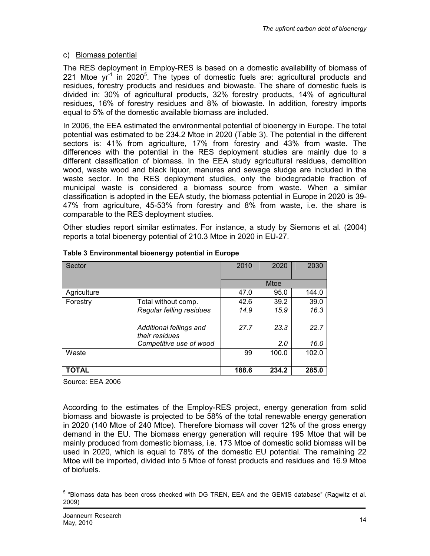#### c) Biomass potential

The RES deployment in Employ-RES is based on a domestic availability of biomass of 221 Mtoe  $yr^{-1}$  in 2020<sup>5</sup>. The types of domestic fuels are: agricultural products and residues, forestry products and residues and biowaste. The share of domestic fuels is divided in: 30% of agricultural products, 32% forestry products, 14% of agricultural residues, 16% of forestry residues and 8% of biowaste. In addition, forestry imports equal to 5% of the domestic available biomass are included.

In 2006, the EEA estimated the environmental potential of bioenergy in Europe. The total potential was estimated to be 234.2 Mtoe in 2020 (Table 3). The potential in the different sectors is: 41% from agriculture, 17% from forestry and 43% from waste. The differences with the potential in the RES deployment studies are mainly due to a different classification of biomass. In the EEA study agricultural residues, demolition wood, waste wood and black liquor, manures and sewage sludge are included in the waste sector. In the RES deployment studies, only the biodegradable fraction of municipal waste is considered a biomass source from waste. When a similar classification is adopted in the EEA study, the biomass potential in Europe in 2020 is 39- 47% from agriculture, 45-53% from forestry and 8% from waste, i.e. the share is comparable to the RES deployment studies.

Other studies report similar estimates. For instance, a study by Siemons et al. (2004) reports a total bioenergy potential of 210.3 Mtoe in 2020 in EU-27.

| Sector      |                                           | 2010  | 2020  | 2030  |  |  |
|-------------|-------------------------------------------|-------|-------|-------|--|--|
|             |                                           | Mtoe  |       |       |  |  |
| Agriculture |                                           | 47.0  | 95.0  | 144.0 |  |  |
| Forestry    | Total without comp.                       | 42.6  | 39.2  | 39.0  |  |  |
|             | Regular felling residues                  | 14.9  | 15.9  | 16.3  |  |  |
|             | Additional fellings and<br>their residues | 27.7  | 23.3  | 22.7  |  |  |
|             | Competitive use of wood                   |       | 2.0   | 16.0  |  |  |
| Waste       |                                           | 99    | 100.0 | 102.0 |  |  |
| TOTAL       |                                           | 188.6 | 234.2 | 285.0 |  |  |

| Table 3 Environmental bioenergy potential in Europe |  |  |  |  |
|-----------------------------------------------------|--|--|--|--|
|-----------------------------------------------------|--|--|--|--|

Source: EEA 2006

According to the estimates of the Employ-RES project, energy generation from solid biomass and biowaste is projected to be 58% of the total renewable energy generation in 2020 (140 Mtoe of 240 Mtoe). Therefore biomass will cover 12% of the gross energy demand in the EU. The biomass energy generation will require 195 Mtoe that will be mainly produced from domestic biomass, i.e. 173 Mtoe of domestic solid biomass will be used in 2020, which is equal to 78% of the domestic EU potential. The remaining 22 Mtoe will be imported, divided into 5 Mtoe of forest products and residues and 16.9 Mtoe of biofuels.

 $\overline{a}$ 

<sup>&</sup>lt;sup>5</sup> "Biomass data has been cross checked with DG TREN, EEA and the GEMIS database" (Ragwitz et al. 2009)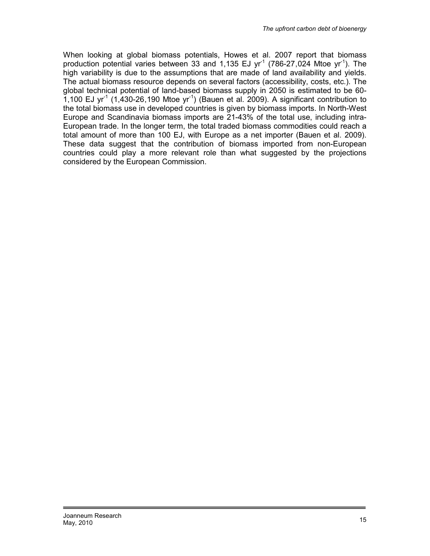When looking at global biomass potentials, Howes et al. 2007 report that biomass production potential varies between 33 and 1,135 EJ yr<sup>-1</sup> (786-27,024 Mtoe yr<sup>-1</sup>). The high variability is due to the assumptions that are made of land availability and yields. The actual biomass resource depends on several factors (accessibility, costs, etc.). The global technical potential of land-based biomass supply in 2050 is estimated to be 60- 1,100 EJ yr<sup>-1</sup> (1,430-26,190 Mtoe yr<sup>-1</sup>) (Bauen et al. 2009). A significant contribution to the total biomass use in developed countries is given by biomass imports. In North-West Europe and Scandinavia biomass imports are 21-43% of the total use, including intra-European trade. In the longer term, the total traded biomass commodities could reach a total amount of more than 100 EJ, with Europe as a net importer (Bauen et al. 2009). These data suggest that the contribution of biomass imported from non-European countries could play a more relevant role than what suggested by the projections considered by the European Commission.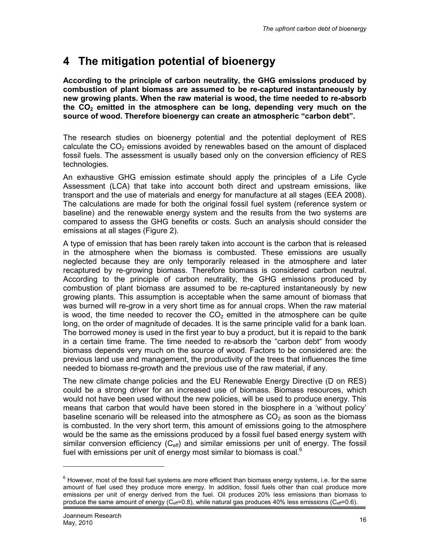## **4 The mitigation potential of bioenergy**

**According to the principle of carbon neutrality, the GHG emissions produced by combustion of plant biomass are assumed to be re-captured instantaneously by new growing plants. When the raw material is wood, the time needed to re-absorb the CO2 emitted in the atmosphere can be long, depending very much on the source of wood. Therefore bioenergy can create an atmospheric "carbon debt".** 

The research studies on bioenergy potential and the potential deployment of RES calculate the  $CO<sub>2</sub>$  emissions avoided by renewables based on the amount of displaced fossil fuels. The assessment is usually based only on the conversion efficiency of RES technologies.

An exhaustive GHG emission estimate should apply the principles of a Life Cycle Assessment (LCA) that take into account both direct and upstream emissions, like transport and the use of materials and energy for manufacture at all stages (EEA 2008). The calculations are made for both the original fossil fuel system (reference system or baseline) and the renewable energy system and the results from the two systems are compared to assess the GHG benefits or costs. Such an analysis should consider the emissions at all stages (Figure 2).

A type of emission that has been rarely taken into account is the carbon that is released in the atmosphere when the biomass is combusted. These emissions are usually neglected because they are only temporarily released in the atmosphere and later recaptured by re-growing biomass. Therefore biomass is considered carbon neutral. According to the principle of carbon neutrality, the GHG emissions produced by combustion of plant biomass are assumed to be re-captured instantaneously by new growing plants. This assumption is acceptable when the same amount of biomass that was burned will re-grow in a very short time as for annual crops. When the raw material is wood, the time needed to recover the  $CO<sub>2</sub>$  emitted in the atmosphere can be quite long, on the order of magnitude of decades. It is the same principle valid for a bank loan. The borrowed money is used in the first year to buy a product, but it is repaid to the bank in a certain time frame. The time needed to re-absorb the "carbon debt" from woody biomass depends very much on the source of wood. Factors to be considered are: the previous land use and management, the productivity of the trees that influences the time needed to biomass re-growth and the previous use of the raw material, if any.

The new climate change policies and the EU Renewable Energy Directive (D on RES) could be a strong driver for an increased use of biomass. Biomass resources, which would not have been used without the new policies, will be used to produce energy. This means that carbon that would have been stored in the biosphere in a 'without policy' baseline scenario will be released into the atmosphere as  $CO<sub>2</sub>$  as soon as the biomass is combusted. In the very short term, this amount of emissions going to the atmosphere would be the same as the emissions produced by a fossil fuel based energy system with similar conversion efficiency  $(C_{\text{eff}})$  and similar emissions per unit of energy. The fossil fuel with emissions per unit of energy most similar to biomass is coal.<sup>6</sup>

 $\overline{a}$ 

 $^6$  However, most of the fossil fuel systems are more efficient than biomass energy systems, i.e. for the same amount of fuel used they produce more energy. In addition, fossil fuels other than coal produce more emissions per unit of energy derived from the fuel. Oil produces 20% less emissions than biomass to produce the same amount of energy ( $C_{\text{eff}}$ =0.8), while natural gas produces 40% less emissions ( $C_{\text{eff}}$ =0.6).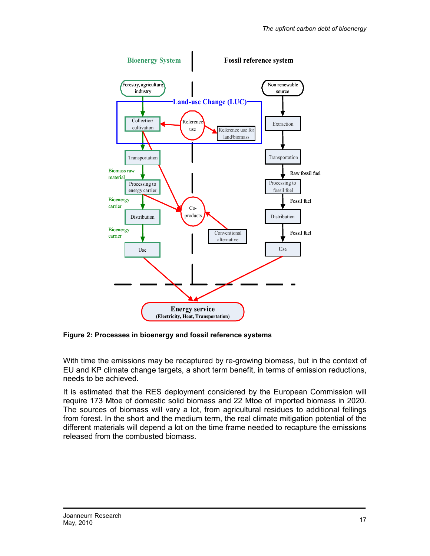

**Figure 2: Processes in bioenergy and fossil reference systems** 

With time the emissions may be recaptured by re-growing biomass, but in the context of EU and KP climate change targets, a short term benefit, in terms of emission reductions, needs to be achieved.

It is estimated that the RES deployment considered by the European Commission will require 173 Mtoe of domestic solid biomass and 22 Mtoe of imported biomass in 2020. The sources of biomass will vary a lot, from agricultural residues to additional fellings from forest. In the short and the medium term, the real climate mitigation potential of the different materials will depend a lot on the time frame needed to recapture the emissions released from the combusted biomass.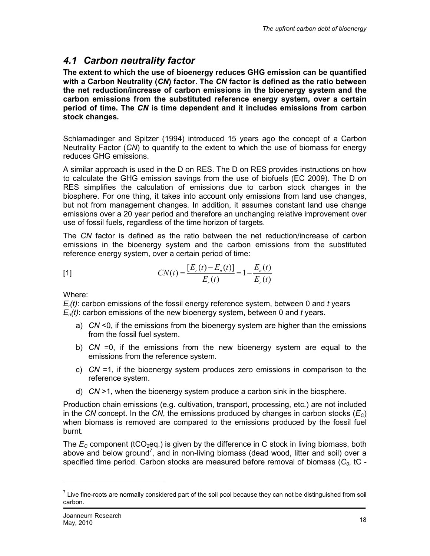### *4.1 Carbon neutrality factor*

**The extent to which the use of bioenergy reduces GHG emission can be quantified with a Carbon Neutrality (***CN***) factor. The** *CN* **factor is defined as the ratio between the net reduction/increase of carbon emissions in the bioenergy system and the carbon emissions from the substituted reference energy system, over a certain period of time. The** *CN* **is time dependent and it includes emissions from carbon stock changes.** 

Schlamadinger and Spitzer (1994) introduced 15 years ago the concept of a Carbon Neutrality Factor (*CN*) to quantify to the extent to which the use of biomass for energy reduces GHG emissions.

A similar approach is used in the D on RES. The D on RES provides instructions on how to calculate the GHG emission savings from the use of biofuels (EC 2009). The D on RES simplifies the calculation of emissions due to carbon stock changes in the biosphere. For one thing, it takes into account only emissions from land use changes, but not from management changes. In addition, it assumes constant land use change emissions over a 20 year period and therefore an unchanging relative improvement over use of fossil fuels, regardless of the time horizon of targets.

The *CN* factor is defined as the ratio between the net reduction/increase of carbon emissions in the bioenergy system and the carbon emissions from the substituted reference energy system, over a certain period of time:

[1]
$$
CN(t) = \frac{[E_r(t) - E_n(t)]}{E_r(t)} = 1 - \frac{E_n(t)}{E_r(t)}
$$

Where:

*Er(t)*: carbon emissions of the fossil energy reference system, between 0 and *t* years *En(t)*: carbon emissions of the new bioenergy system, between 0 and *t* years.

- a) *CN* <0, if the emissions from the bioenergy system are higher than the emissions from the fossil fuel system.
- b) *CN* =0, if the emissions from the new bioenergy system are equal to the emissions from the reference system.
- c) *CN* =1, if the bioenergy system produces zero emissions in comparison to the reference system.
- d) *CN* >1, when the bioenergy system produce a carbon sink in the biosphere.

Production chain emissions (e.g. cultivation, transport, processing, etc.) are not included in the *CN* concept. In the *CN*, the emissions produced by changes in carbon stocks  $(E<sub>C</sub>)$ when biomass is removed are compared to the emissions produced by the fossil fuel burnt.

The  $E_c$  component (tCO<sub>2</sub>eq.) is given by the difference in C stock in living biomass, both above and below ground<sup>7</sup>, and in non-living biomass (dead wood, litter and soil) over a specified time period. Carbon stocks are measured before removal of biomass (*C0*, tC -

 $\overline{a}$ 

 $<sup>7</sup>$  Live fine-roots are normally considered part of the soil pool because they can not be distinguished from soil</sup> carbon.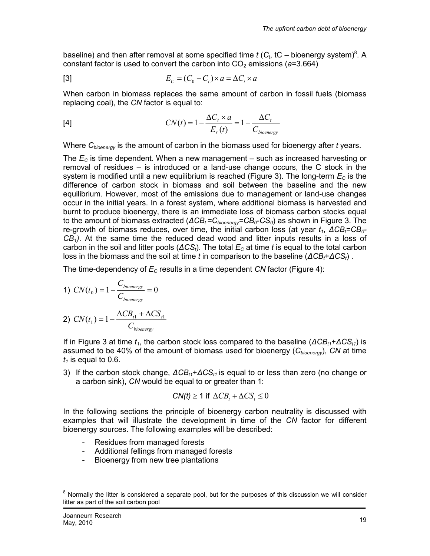baseline) and then after removal at some specified time  $t$  ( $C_t$ , tC – bioenergy system)<sup>8</sup>. A constant factor is used to convert the carbon into  $CO<sub>2</sub>$  emissions ( $a=3.664$ )

$$
E_C = (C_0 - C_t) \times a = \Delta C_t \times a
$$

When carbon in biomass replaces the same amount of carbon in fossil fuels (biomass replacing coal), the *CN* factor is equal to:

$$
CN(t) = 1 - \frac{\Delta C_t \times a}{E_r(t)} = 1 - \frac{\Delta C_t}{C_{biouergy}}
$$

Where *Cbioenergy* is the amount of carbon in the biomass used for bioenergy after *t* years.

The *EC* is time dependent. When a new management – such as increased harvesting or removal of residues – is introduced or a land-use change occurs, the C stock in the system is modified until a new equilibrium is reached (Figure 3). The long-term  $E_c$  is the difference of carbon stock in biomass and soil between the baseline and the new equilibrium. However, most of the emissions due to management or land-use changes occur in the initial years. In a forest system, where additional biomass is harvested and burnt to produce bioenergy, there is an immediate loss of biomass carbon stocks equal to the amount of biomass extracted (*∆CBt =Cbioenergy=CB0-CS0*) as shown in Figure 3. The re-growth of biomass reduces, over time, the initial carbon loss (at year *t1*, *∆CBt=CB0-*  $CB<sub>1</sub>$ ). At the same time the reduced dead wood and litter inputs results in a loss of carbon in the soil and litter pools (*∆CSt*). The total *EC* at time *t* is equal to the total carbon loss in the biomass and the soil at time *t* in comparison to the baseline (*∆CBt*+*∆CSt*) .

The time-dependency of  $E_c$  results in a time dependent *CN* factor (Figure 4):

1) 
$$
CN(t_0) = 1 - \frac{C_{bioenergy}}{C_{bioenergy}} = 0
$$

$$
2) \hspace{0.1cm} CN(t_1) = 1 - \frac{\Delta C B_{t1} + \Delta C S_{t1}}{C_{bioenery}}
$$

If in Figure 3 at time *t1*, the carbon stock loss compared to the baseline (*∆CBt1*+*∆CSt1*) is assumed to be 40% of the amount of biomass used for bioenergy (*Cbioenergy*), *CN* at time  $t_1$  is equal to 0.6.

3) If the carbon stock change, *∆CBt1*+*∆CSt1* is equal to or less than zero (no change or a carbon sink), *CN* would be equal to or greater than 1:

$$
CN(t) \ge 1 \text{ if } \Delta CB_t + \Delta CS_t \le 0
$$

In the following sections the principle of bioenergy carbon neutrality is discussed with examples that will illustrate the development in time of the *CN* factor for different bioenergy sources. The following examples will be described:

- Residues from managed forests
- Additional fellings from managed forests
- Bioenergy from new tree plantations

-

<sup>&</sup>lt;sup>8</sup> Normally the litter is considered a separate pool, but for the purposes of this discussion we will consider litter as part of the soil carbon pool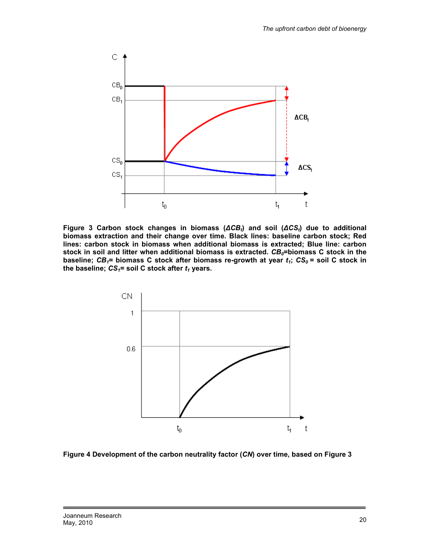

**Figure 3 Carbon stock changes in biomass (***∆CBt***) and soil (***∆CSt***) due to additional biomass extraction and their change over time. Black lines: baseline carbon stock; Red lines: carbon stock in biomass when additional biomass is extracted; Blue line: carbon stock in soil and litter when additional biomass is extracted.** *CB0***=biomass C stock in the baseline;** *CB1***= biomass C stock after biomass re-growth at year** *t1***;** *CS<sup>0</sup>* **= soil C stock in**  the baseline;  $CS_1$ = soil C stock after  $t_1$  years.



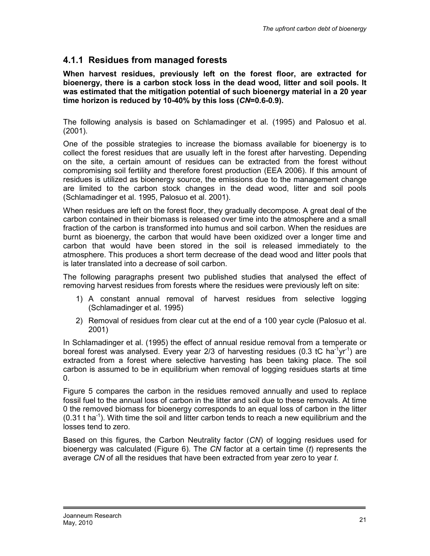### **4.1.1 Residues from managed forests**

**When harvest residues, previously left on the forest floor, are extracted for bioenergy, there is a carbon stock loss in the dead wood, litter and soil pools. It was estimated that the mitigation potential of such bioenergy material in a 20 year time horizon is reduced by 10-40% by this loss (***CN***=0.6-0.9).** 

The following analysis is based on Schlamadinger et al. (1995) and Palosuo et al. (2001).

One of the possible strategies to increase the biomass available for bioenergy is to collect the forest residues that are usually left in the forest after harvesting. Depending on the site, a certain amount of residues can be extracted from the forest without compromising soil fertility and therefore forest production (EEA 2006). If this amount of residues is utilized as bioenergy source, the emissions due to the management change are limited to the carbon stock changes in the dead wood, litter and soil pools (Schlamadinger et al. 1995, Palosuo et al. 2001).

When residues are left on the forest floor, they gradually decompose. A great deal of the carbon contained in their biomass is released over time into the atmosphere and a small fraction of the carbon is transformed into humus and soil carbon. When the residues are burnt as bioenergy, the carbon that would have been oxidized over a longer time and carbon that would have been stored in the soil is released immediately to the atmosphere. This produces a short term decrease of the dead wood and litter pools that is later translated into a decrease of soil carbon.

The following paragraphs present two published studies that analysed the effect of removing harvest residues from forests where the residues were previously left on site:

- 1) A constant annual removal of harvest residues from selective logging (Schlamadinger et al. 1995)
- 2) Removal of residues from clear cut at the end of a 100 year cycle (Palosuo et al. 2001)

In Schlamadinger et al. (1995) the effect of annual residue removal from a temperate or boreal forest was analysed. Every year 2/3 of harvesting residues (0.3 tC ha<sup>-1</sup>yr<sup>-1</sup>) are extracted from a forest where selective harvesting has been taking place. The soil carbon is assumed to be in equilibrium when removal of logging residues starts at time 0.

Figure 5 compares the carbon in the residues removed annually and used to replace fossil fuel to the annual loss of carbon in the litter and soil due to these removals. At time 0 the removed biomass for bioenergy corresponds to an equal loss of carbon in the litter  $(0.31 t \text{ ha}^{-1})$ . With time the soil and litter carbon tends to reach a new equilibrium and the losses tend to zero.

Based on this figures, the Carbon Neutrality factor (*CN*) of logging residues used for bioenergy was calculated (Figure 6). The *CN* factor at a certain time (*t*) represents the average *CN* of all the residues that have been extracted from year zero to year *t*.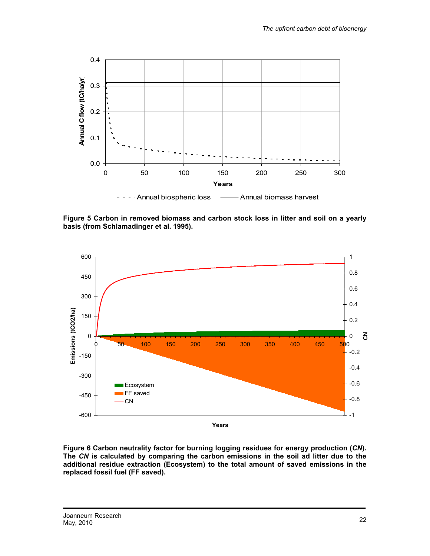

**Figure 5 Carbon in removed biomass and carbon stock loss in litter and soil on a yearly basis (from Schlamadinger et al. 1995).** 



**Figure 6 Carbon neutrality factor for burning logging residues for energy production (***CN***). The** *CN* **is calculated by comparing the carbon emissions in the soil ad litter due to the additional residue extraction (Ecosystem) to the total amount of saved emissions in the replaced fossil fuel (FF saved).**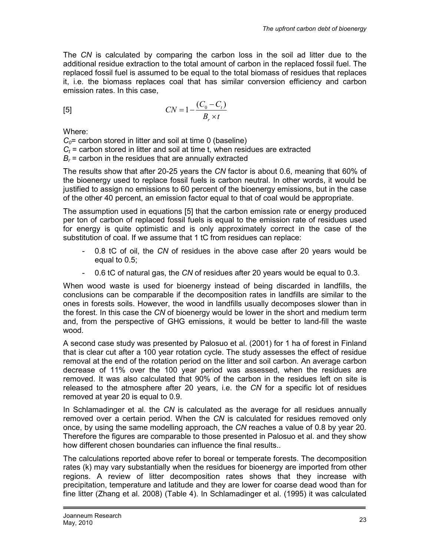The *CN* is calculated by comparing the carbon loss in the soil ad litter due to the additional residue extraction to the total amount of carbon in the replaced fossil fuel. The replaced fossil fuel is assumed to be equal to the total biomass of residues that replaces it, i.e. the biomass replaces coal that has similar conversion efficiency and carbon emission rates. In this case,

[5] 
$$
CN = 1 - \frac{(C_0 - C_t)}{B_r \times t}
$$

Where:

*C0*= carbon stored in litter and soil at time 0 (baseline)

*Ct* = carbon stored in litter and soil at time t, when residues are extracted

*Br* = carbon in the residues that are annually extracted

The results show that after 20-25 years the *CN* factor is about 0.6, meaning that 60% of the bioenergy used to replace fossil fuels is carbon neutral. In other words, it would be justified to assign no emissions to 60 percent of the bioenergy emissions, but in the case of the other 40 percent, an emission factor equal to that of coal would be appropriate.

The assumption used in equations [5] that the carbon emission rate or energy produced per ton of carbon of replaced fossil fuels is equal to the emission rate of residues used for energy is quite optimistic and is only approximately correct in the case of the substitution of coal. If we assume that 1 tC from residues can replace:

- 0.8 tC of oil, the *CN* of residues in the above case after 20 years would be equal to 0.5;
- 0.6 tC of natural gas, the *CN* of residues after 20 years would be equal to 0.3.

When wood waste is used for bioenergy instead of being discarded in landfills, the conclusions can be comparable if the decomposition rates in landfills are similar to the ones in forests soils. However, the wood in landfills usually decomposes slower than in the forest. In this case the *CN* of bioenergy would be lower in the short and medium term and, from the perspective of GHG emissions, it would be better to land-fill the waste wood.

A second case study was presented by Palosuo et al. (2001) for 1 ha of forest in Finland that is clear cut after a 100 year rotation cycle. The study assesses the effect of residue removal at the end of the rotation period on the litter and soil carbon. An average carbon decrease of 11% over the 100 year period was assessed, when the residues are removed. It was also calculated that 90% of the carbon in the residues left on site is released to the atmosphere after 20 years, i.e. the *CN* for a specific lot of residues removed at year 20 is equal to 0.9.

In Schlamadinger et al. the *CN* is calculated as the average for all residues annually removed over a certain period. When the *CN* is calculated for residues removed only once, by using the same modelling approach, the *CN* reaches a value of 0.8 by year 20. Therefore the figures are comparable to those presented in Palosuo et al. and they show how different chosen boundaries can influence the final results..

The calculations reported above refer to boreal or temperate forests. The decomposition rates (k) may vary substantially when the residues for bioenergy are imported from other regions. A review of litter decomposition rates shows that they increase with precipitation, temperature and latitude and they are lower for coarse dead wood than for fine litter (Zhang et al. 2008) (Table 4). In Schlamadinger et al. (1995) it was calculated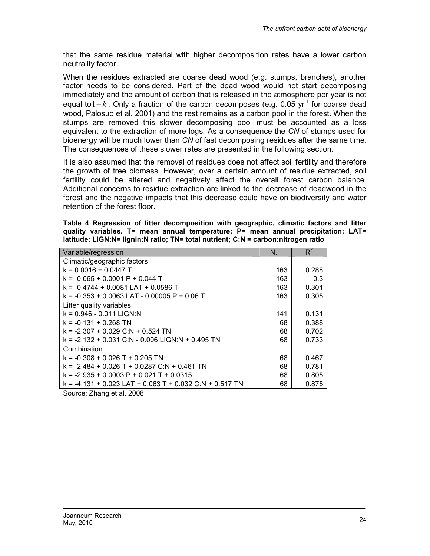that the same residue material with higher decomposition rates have a lower carbon neutrality factor.

When the residues extracted are coarse dead wood (e.g. stumps, branches), another factor needs to be considered. Part of the dead wood would not start decomposing immediately and the amount of carbon that is released in the atmosphere per year is not equal to1−k. Only a fraction of the carbon decomposes (e.g. 0.05 yr<sup>-1</sup> for coarse dead wood, Palosuo et al. 2001) and the rest remains as a carbon pool in the forest. When the stumps are removed this slower decomposing pool must be accounted as a loss equivalent to the extraction of more logs. As a consequence the *CN* of stumps used for bioenergy will be much lower than *CN* of fast decomposing residues after the same time. The consequences of these slower rates are presented in the following section.

It is also assumed that the removal of residues does not affect soil fertility and therefore the growth of tree biomass. However, over a certain amount of residue extracted, soil fertility could be altered and negatively affect the overall forest carbon balance. Additional concerns to residue extraction are linked to the decrease of deadwood in the forest and the negative impacts that this decrease could have on biodiversity and water retention of the forest floor.

**Table 4 Regression of litter decomposition with geographic, climatic factors and litter quality variables. T= mean annual temperature; P= mean annual precipitation; LAT= latitude; LIGN:N= lignin:N ratio; TN= total nutrient; C:N = carbon:nitrogen ratio** 

| N.  | $R^2$ |
|-----|-------|
|     |       |
| 163 | 0.288 |
| 163 | 0.3   |
| 163 | 0.301 |
| 163 | 0.305 |
|     |       |
| 141 | 0.131 |
| 68  | 0.388 |
| 68  | 0.702 |
| 68  | 0.733 |
|     |       |
| 68  | 0.467 |
| 68  | 0.781 |
| 68  | 0.805 |
| 68  | 0.875 |
|     |       |

Source: Zhang et al. 2008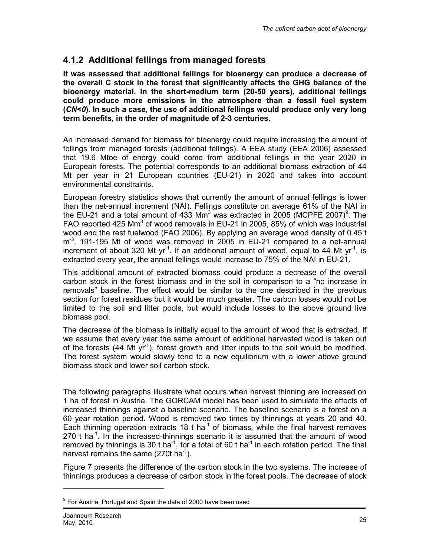#### **4.1.2 Additional fellings from managed forests**

**It was assessed that additional fellings for bioenergy can produce a decrease of the overall C stock in the forest that significantly affects the GHG balance of the bioenergy material. In the short-medium term (20-50 years), additional fellings could produce more emissions in the atmosphere than a fossil fuel system (***CN<0***). In such a case, the use of additional fellings would produce only very long term benefits, in the order of magnitude of 2-3 centuries.** 

An increased demand for biomass for bioenergy could require increasing the amount of fellings from managed forests (additional fellings). A EEA study (EEA 2006) assessed that 19.6 Mtoe of energy could come from additional fellings in the year 2020 in European forests. The potential corresponds to an additional biomass extraction of 44 Mt per year in 21 European countries (EU-21) in 2020 and takes into account environmental constraints.

European forestry statistics shows that currently the amount of annual fellings is lower than the net-annual increment (NAI). Fellings constitute on average 61% of the NAI in the EU-21 and a total amount of 433 Mm<sup>3</sup> was extracted in 2005 (MCPFE 2007)<sup>9</sup>. The FAO reported 425 Mm<sup>3</sup> of wood removals in EU-21 in 2005, 85% of which was industrial wood and the rest fuelwood (FAO 2006). By applying an average wood density of 0.45 t m<sup>3</sup>, 191-195 Mt of wood was removed in 2005 in EU-21 compared to a net-annual increment of about 320 Mt yr<sup>-1</sup>. If an additional amount of wood, equal to 44 Mt yr<sup>-1</sup>, is extracted every year, the annual fellings would increase to 75% of the NAI in EU-21.

This additional amount of extracted biomass could produce a decrease of the overall carbon stock in the forest biomass and in the soil in comparison to a "no increase in removals" baseline. The effect would be similar to the one described in the previous section for forest residues but it would be much greater. The carbon losses would not be limited to the soil and litter pools, but would include losses to the above ground live biomass pool.

The decrease of the biomass is initially equal to the amount of wood that is extracted. If we assume that every year the same amount of additional harvested wood is taken out of the forests (44 Mt  $yr^{-1}$ ), forest growth and litter inputs to the soil would be modified. The forest system would slowly tend to a new equilibrium with a lower above ground biomass stock and lower soil carbon stock.

The following paragraphs illustrate what occurs when harvest thinning are increased on 1 ha of forest in Austria. The GORCAM model has been used to simulate the effects of increased thinnings against a baseline scenario. The baseline scenario is a forest on a 60 year rotation period. Wood is removed two times by thinnings at years 20 and 40. Each thinning operation extracts 18 t ha<sup>-1</sup> of biomass, while the final harvest removes 270 t ha<sup>-1</sup>. In the increased-thinnings scenario it is assumed that the amount of wood removed by thinnings is 30 t ha<sup>-1</sup>, for a total of 60 t ha<sup>-1</sup> in each rotation period. The final harvest remains the same  $(270t \text{ ha}^{-1})$ .

Figure 7 presents the difference of the carbon stock in the two systems. The increase of thinnings produces a decrease of carbon stock in the forest pools. The decrease of stock

-

 $9$  For Austria, Portugal and Spain the data of 2000 have been used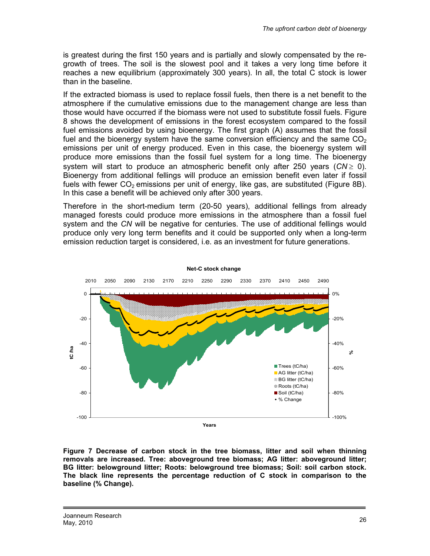is greatest during the first 150 years and is partially and slowly compensated by the regrowth of trees. The soil is the slowest pool and it takes a very long time before it reaches a new equilibrium (approximately 300 years). In all, the total C stock is lower than in the baseline.

If the extracted biomass is used to replace fossil fuels, then there is a net benefit to the atmosphere if the cumulative emissions due to the management change are less than those would have occurred if the biomass were not used to substitute fossil fuels. Figure 8 shows the development of emissions in the forest ecosystem compared to the fossil fuel emissions avoided by using bioenergy. The first graph (A) assumes that the fossil fuel and the bioenergy system have the same conversion efficiency and the same  $CO<sub>2</sub>$ emissions per unit of energy produced. Even in this case, the bioenergy system will produce more emissions than the fossil fuel system for a long time. The bioenergy system will start to produce an atmospheric benefit only after 250 years  $(CN \geq 0)$ . Bioenergy from additional fellings will produce an emission benefit even later if fossil fuels with fewer  $CO<sub>2</sub>$  emissions per unit of energy, like gas, are substituted (Figure 8B). In this case a benefit will be achieved only after 300 years.

Therefore in the short-medium term (20-50 years), additional fellings from already managed forests could produce more emissions in the atmosphere than a fossil fuel system and the *CN* will be negative for centuries. The use of additional fellings would produce only very long term benefits and it could be supported only when a long-term emission reduction target is considered, i.e. as an investment for future generations.



**Figure 7 Decrease of carbon stock in the tree biomass, litter and soil when thinning removals are increased. Tree: aboveground tree biomass; AG litter: aboveground litter; BG litter: belowground litter; Roots: belowground tree biomass; Soil: soil carbon stock. The black line represents the percentage reduction of C stock in comparison to the baseline (% Change).**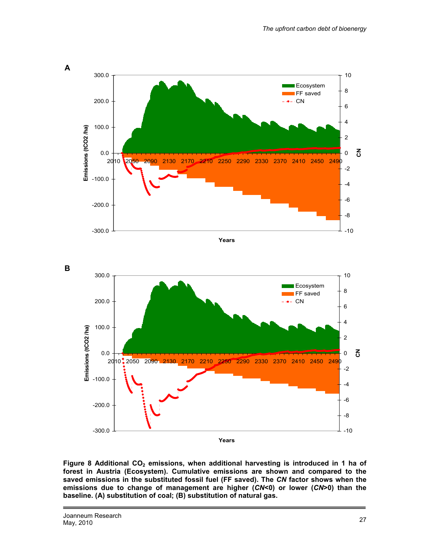

**Figure 8 Additional CO2 emissions, when additional harvesting is introduced in 1 ha of forest in Austria (Ecosystem). Cumulative emissions are shown and compared to the saved emissions in the substituted fossil fuel (FF saved). The** *CN* **factor shows when the emissions due to change of management are higher (***CN***<0) or lower (***CN***>0) than the baseline. (A) substitution of coal; (B) substitution of natural gas.**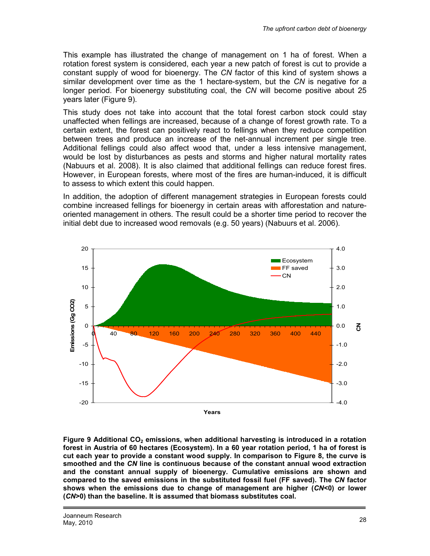This example has illustrated the change of management on 1 ha of forest. When a rotation forest system is considered, each year a new patch of forest is cut to provide a constant supply of wood for bioenergy. The *CN* factor of this kind of system shows a similar development over time as the 1 hectare-system, but the *CN* is negative for a longer period. For bioenergy substituting coal, the *CN* will become positive about 25 years later (Figure 9).

This study does not take into account that the total forest carbon stock could stay unaffected when fellings are increased, because of a change of forest growth rate. To a certain extent, the forest can positively react to fellings when they reduce competition between trees and produce an increase of the net-annual increment per single tree. Additional fellings could also affect wood that, under a less intensive management, would be lost by disturbances as pests and storms and higher natural mortality rates (Nabuurs et al. 2008). It is also claimed that additional fellings can reduce forest fires. However, in European forests, where most of the fires are human-induced, it is difficult to assess to which extent this could happen.

In addition, the adoption of different management strategies in European forests could combine increased fellings for bioenergy in certain areas with afforestation and natureoriented management in others. The result could be a shorter time period to recover the initial debt due to increased wood removals (e.g. 50 years) (Nabuurs et al. 2006).



**Figure 9 Additional CO2 emissions, when additional harvesting is introduced in a rotation forest in Austria of 60 hectares (Ecosystem). In a 60 year rotation period, 1 ha of forest is cut each year to provide a constant wood supply. In comparison to Figure 8, the curve is smoothed and the** *CN* **line is continuous because of the constant annual wood extraction and the constant annual supply of bioenergy. Cumulative emissions are shown and compared to the saved emissions in the substituted fossil fuel (FF saved). The** *CN* **factor shows when the emissions due to change of management are higher (***CN***<0) or lower (***CN***>0) than the baseline. It is assumed that biomass substitutes coal.**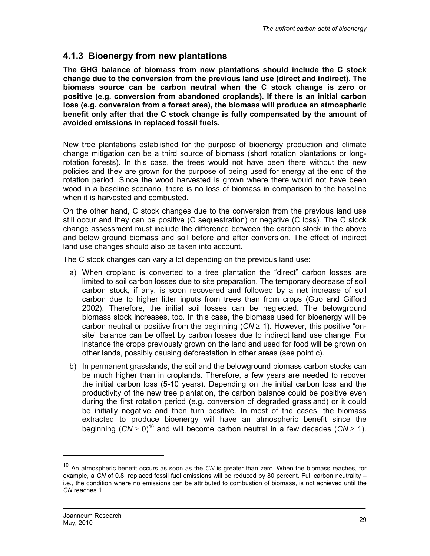#### **4.1.3 Bioenergy from new plantations**

**The GHG balance of biomass from new plantations should include the C stock change due to the conversion from the previous land use (direct and indirect). The biomass source can be carbon neutral when the C stock change is zero or positive (e.g. conversion from abandoned croplands). If there is an initial carbon loss (e.g. conversion from a forest area), the biomass will produce an atmospheric benefit only after that the C stock change is fully compensated by the amount of avoided emissions in replaced fossil fuels.** 

New tree plantations established for the purpose of bioenergy production and climate change mitigation can be a third source of biomass (short rotation plantations or longrotation forests). In this case, the trees would not have been there without the new policies and they are grown for the purpose of being used for energy at the end of the rotation period. Since the wood harvested is grown where there would not have been wood in a baseline scenario, there is no loss of biomass in comparison to the baseline when it is harvested and combusted.

On the other hand, C stock changes due to the conversion from the previous land use still occur and they can be positive (C sequestration) or negative (C loss). The C stock change assessment must include the difference between the carbon stock in the above and below ground biomass and soil before and after conversion. The effect of indirect land use changes should also be taken into account.

The C stock changes can vary a lot depending on the previous land use:

- a) When cropland is converted to a tree plantation the "direct" carbon losses are limited to soil carbon losses due to site preparation. The temporary decrease of soil carbon stock, if any, is soon recovered and followed by a net increase of soil carbon due to higher litter inputs from trees than from crops (Guo and Gifford 2002). Therefore, the initial soil losses can be neglected. The belowground biomass stock increases, too. In this case, the biomass used for bioenergy will be carbon neutral or positive from the beginning  $(CN \ge 1)$ . However, this positive "onsite" balance can be offset by carbon losses due to indirect land use change. For instance the crops previously grown on the land and used for food will be grown on other lands, possibly causing deforestation in other areas (see point c).
- b) In permanent grasslands, the soil and the belowground biomass carbon stocks can be much higher than in croplands. Therefore, a few years are needed to recover the initial carbon loss (5-10 years). Depending on the initial carbon loss and the productivity of the new tree plantation, the carbon balance could be positive even during the first rotation period (e.g. conversion of degraded grassland) or it could be initially negative and then turn positive. In most of the cases, the biomass extracted to produce bioenergy will have an atmospheric benefit since the beginning ( $CN \geq 0$ )<sup>10</sup> and will become carbon neutral in a few decades ( $CN \geq 1$ ).

 $\overline{a}$ 

<sup>10</sup> An atmospheric benefit occurs as soon as the *CN* is greater than zero. When the biomass reaches, for example, a *CN* of 0.8, replaced fossil fuel emissions will be reduced by 80 percent. Full carbon neutrality – i.e., the condition where no emissions can be attributed to combustion of biomass, is not achieved until the *CN* reaches 1.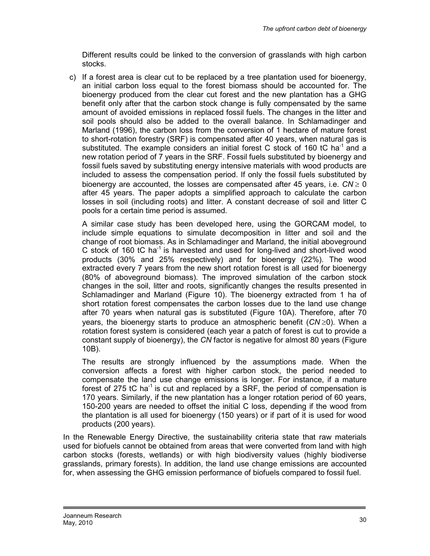Different results could be linked to the conversion of grasslands with high carbon stocks.

c) If a forest area is clear cut to be replaced by a tree plantation used for bioenergy, an initial carbon loss equal to the forest biomass should be accounted for. The bioenergy produced from the clear cut forest and the new plantation has a GHG benefit only after that the carbon stock change is fully compensated by the same amount of avoided emissions in replaced fossil fuels. The changes in the litter and soil pools should also be added to the overall balance. In Schlamadinger and Marland (1996), the carbon loss from the conversion of 1 hectare of mature forest to short-rotation forestry (SRF) is compensated after 40 years, when natural gas is substituted. The example considers an initial forest C stock of 160 tC ha<sup>-1</sup> and a new rotation period of 7 years in the SRF. Fossil fuels substituted by bioenergy and fossil fuels saved by substituting energy intensive materials with wood products are included to assess the compensation period. If only the fossil fuels substituted by bioenergy are accounted, the losses are compensated after 45 years, i.e.  $CN \geq 0$ after 45 years. The paper adopts a simplified approach to calculate the carbon losses in soil (including roots) and litter. A constant decrease of soil and litter C pools for a certain time period is assumed.

A similar case study has been developed here, using the GORCAM model, to include simple equations to simulate decomposition in litter and soil and the change of root biomass. As in Schlamadinger and Marland, the initial aboveground C stock of 160 tC ha<sup>-1</sup> is harvested and used for long-lived and short-lived wood products (30% and 25% respectively) and for bioenergy (22%). The wood extracted every 7 years from the new short rotation forest is all used for bioenergy (80% of aboveground biomass). The improved simulation of the carbon stock changes in the soil, litter and roots, significantly changes the results presented in Schlamadinger and Marland (Figure 10). The bioenergy extracted from 1 ha of short rotation forest compensates the carbon losses due to the land use change after 70 years when natural gas is substituted (Figure 10A). Therefore, after 70 years, the bioenergy starts to produce an atmospheric benefit (*CN* ≥0). When a rotation forest system is considered (each year a patch of forest is cut to provide a constant supply of bioenergy), the *CN* factor is negative for almost 80 years (Figure 10B).

The results are strongly influenced by the assumptions made. When the conversion affects a forest with higher carbon stock, the period needed to compensate the land use change emissions is longer. For instance, if a mature forest of 275 tC ha<sup>-1</sup> is cut and replaced by a SRF, the period of compensation is 170 years. Similarly, if the new plantation has a longer rotation period of 60 years, 150-200 years are needed to offset the initial C loss, depending if the wood from the plantation is all used for bioenergy (150 years) or if part of it is used for wood products (200 years).

In the Renewable Energy Directive, the sustainability criteria state that raw materials used for biofuels cannot be obtained from areas that were converted from land with high carbon stocks (forests, wetlands) or with high biodiversity values (highly biodiverse grasslands, primary forests). In addition, the land use change emissions are accounted for, when assessing the GHG emission performance of biofuels compared to fossil fuel.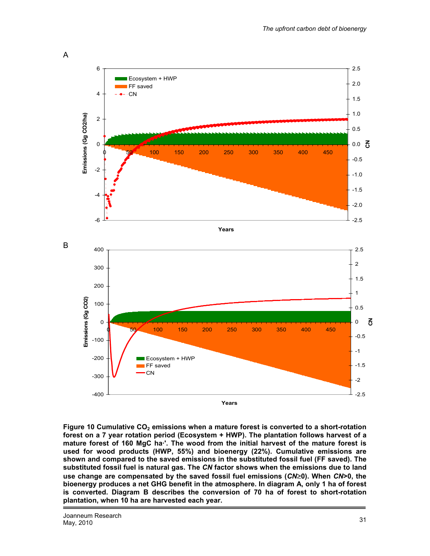

**Figure 10 Cumulative CO2 emissions when a mature forest is converted to a short-rotation forest on a 7 year rotation period (Ecosystem + HWP). The plantation follows harvest of a mature forest of 160 MgC ha·'. The wood from the initial harvest of the mature forest is used for wood products (HWP, 55%) and bioenergy (22%). Cumulative emissions are shown and compared to the saved emissions in the substituted fossil fuel (FF saved). The substituted fossil fuel is natural gas. The** *CN* **factor shows when the emissions due to land use change are compensated by the saved fossil fuel emissions (***CN*≥**0). When** *CN***>0, the bioenergy produces a net GHG benefit in the atmosphere. In diagram A, only 1 ha of forest is converted. Diagram B describes the conversion of 70 ha of forest to short-rotation plantation, when 10 ha are harvested each year.**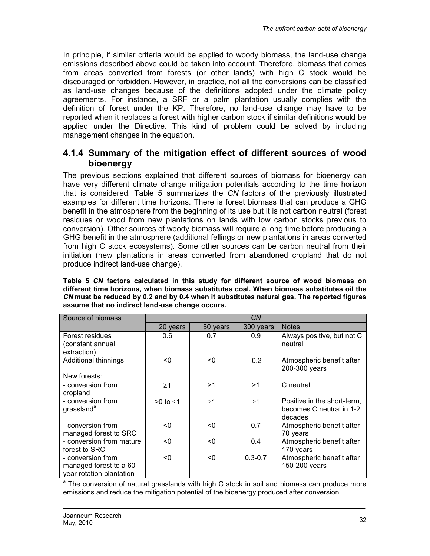In principle, if similar criteria would be applied to woody biomass, the land-use change emissions described above could be taken into account. Therefore, biomass that comes from areas converted from forests (or other lands) with high C stock would be discouraged or forbidden. However, in practice, not all the conversions can be classified as land-use changes because of the definitions adopted under the climate policy agreements. For instance, a SRF or a palm plantation usually complies with the definition of forest under the KP. Therefore, no land-use change may have to be reported when it replaces a forest with higher carbon stock if similar definitions would be applied under the Directive. This kind of problem could be solved by including management changes in the equation.

#### **4.1.4 Summary of the mitigation effect of different sources of wood bioenergy**

The previous sections explained that different sources of biomass for bioenergy can have very different climate change mitigation potentials according to the time horizon that is considered. Table 5 summarizes the *CN* factors of the previously illustrated examples for different time horizons. There is forest biomass that can produce a GHG benefit in the atmosphere from the beginning of its use but it is not carbon neutral (forest residues or wood from new plantations on lands with low carbon stocks previous to conversion). Other sources of woody biomass will require a long time before producing a GHG benefit in the atmosphere (additional fellings or new plantations in areas converted from high C stock ecosystems). Some other sources can be carbon neutral from their initiation (new plantations in areas converted from abandoned cropland that do not produce indirect land-use change).

**Table 5** *CN* **factors calculated in this study for different source of wood biomass on different time horizons, when biomass substitutes coal. When biomass substitutes oil the**  *CN* **must be reduced by 0.2 and by 0.4 when it substitutes natural gas. The reported figures assume that no indirect land-use change occurs.** 

| Source of biomass                                                       | СN               |          |             |                                                                    |  |  |  |
|-------------------------------------------------------------------------|------------------|----------|-------------|--------------------------------------------------------------------|--|--|--|
|                                                                         | 20 years         | 50 years | 300 years   | <b>Notes</b>                                                       |  |  |  |
| Forest residues<br>(constant annual<br>extraction)                      | 0.6              | 0.7      | 0.9         | Always positive, but not C<br>neutral                              |  |  |  |
| <b>Additional thinnings</b>                                             | <0               | <0       | 0.2         | Atmospheric benefit after<br>200-300 years                         |  |  |  |
| New forests:                                                            |                  |          |             |                                                                    |  |  |  |
| - conversion from<br>cropland                                           | $\geq$ 1         | >1       | >1          | C neutral                                                          |  |  |  |
| - conversion from<br>grassland <sup>a</sup>                             | $>0$ to $\leq$ 1 | >1       | $\geq$ 1    | Positive in the short-term,<br>becomes C neutral in 1-2<br>decades |  |  |  |
| - conversion from<br>managed forest to SRC                              | <0               | <0       | 0.7         | Atmospheric benefit after<br>70 years                              |  |  |  |
| - conversion from mature<br>forest to SRC                               | <0               | <0       | 0.4         | Atmospheric benefit after<br>170 years                             |  |  |  |
| - conversion from<br>managed forest to a 60<br>year rotation plantation | <0               | <0       | $0.3 - 0.7$ | Atmospheric benefit after<br>150-200 years                         |  |  |  |

<sup>a</sup> The conversion of natural grasslands with high C stock in soil and biomass can produce more emissions and reduce the mitigation potential of the bioenergy produced after conversion.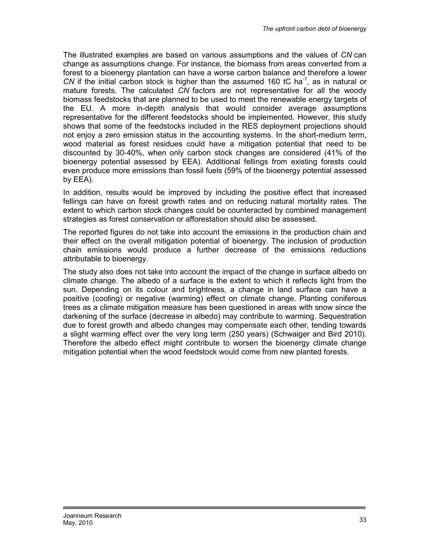The illustrated examples are based on various assumptions and the values of *CN* can change as assumptions change. For instance, the biomass from areas converted from a forest to a bioenergy plantation can have a worse carbon balance and therefore a lower *CN* if the initial carbon stock is higher than the assumed 160 tC ha<sup>-1</sup>, as in natural or mature forests. The calculated *CN* factors are not representative for all the woody biomass feedstocks that are planned to be used to meet the renewable energy targets of the EU. A more in-depth analysis that would consider average assumptions representative for the different feedstocks should be implemented. However, this study shows that some of the feedstocks included in the RES deployment projections should not enjoy a zero emission status in the accounting systems. In the short-medium term, wood material as forest residues could have a mitigation potential that need to be discounted by 30-40%, when only carbon stock changes are considered (41% of the bioenergy potential assessed by EEA). Additional fellings from existing forests could even produce more emissions than fossil fuels (59% of the bioenergy potential assessed by EEA).

In addition, results would be improved by including the positive effect that increased fellings can have on forest growth rates and on reducing natural mortality rates. The extent to which carbon stock changes could be counteracted by combined management strategies as forest conservation or afforestation should also be assessed.

The reported figures do not take into account the emissions in the production chain and their effect on the overall mitigation potential of bioenergy. The inclusion of production chain emissions would produce a further decrease of the emissions reductions attributable to bioenergy.

The study also does not take into account the impact of the change in surface albedo on climate change. The albedo of a surface is the extent to which it reflects light from the sun. Depending on its colour and brightness, a change in land surface can have a positive (cooling) or negative (warming) effect on climate change. Planting coniferous trees as a climate mitigation measure has been questioned in areas with snow since the darkening of the surface (decrease in albedo) may contribute to warming. Sequestration due to forest growth and albedo changes may compensate each other, tending towards a slight warming effect over the very long term (250 years) (Schwaiger and Bird 2010). Therefore the albedo effect might contribute to worsen the bioenergy climate change mitigation potential when the wood feedstock would come from new planted forests.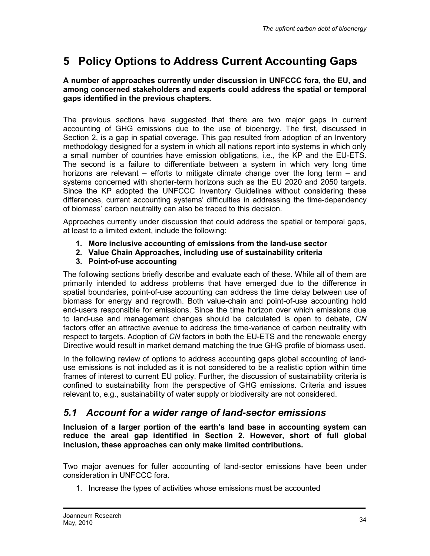## **5 Policy Options to Address Current Accounting Gaps**

#### **A number of approaches currently under discussion in UNFCCC fora, the EU, and among concerned stakeholders and experts could address the spatial or temporal gaps identified in the previous chapters.**

The previous sections have suggested that there are two major gaps in current accounting of GHG emissions due to the use of bioenergy. The first, discussed in Section 2, is a gap in spatial coverage. This gap resulted from adoption of an Inventory methodology designed for a system in which all nations report into systems in which only a small number of countries have emission obligations, i.e., the KP and the EU-ETS. The second is a failure to differentiate between a system in which very long time horizons are relevant – efforts to mitigate climate change over the long term – and systems concerned with shorter-term horizons such as the EU 2020 and 2050 targets. Since the KP adopted the UNFCCC Inventory Guidelines without considering these differences, current accounting systems' difficulties in addressing the time-dependency of biomass' carbon neutrality can also be traced to this decision.

Approaches currently under discussion that could address the spatial or temporal gaps, at least to a limited extent, include the following:

- **1. More inclusive accounting of emissions from the land-use sector**
- **2. Value Chain Approaches, including use of sustainability criteria**
- **3. Point-of-use accounting**

The following sections briefly describe and evaluate each of these. While all of them are primarily intended to address problems that have emerged due to the difference in spatial boundaries, point-of-use accounting can address the time delay between use of biomass for energy and regrowth. Both value-chain and point-of-use accounting hold end-users responsible for emissions. Since the time horizon over which emissions due to land-use and management changes should be calculated is open to debate, *CN*  factors offer an attractive avenue to address the time-variance of carbon neutrality with respect to targets. Adoption of *CN* factors in both the EU-ETS and the renewable energy Directive would result in market demand matching the true GHG profile of biomass used.

In the following review of options to address accounting gaps global accounting of landuse emissions is not included as it is not considered to be a realistic option within time frames of interest to current EU policy. Further, the discussion of sustainability criteria is confined to sustainability from the perspective of GHG emissions. Criteria and issues relevant to, e.g., sustainability of water supply or biodiversity are not considered.

### *5.1 Account for a wider range of land-sector emissions*

**Inclusion of a larger portion of the earth's land base in accounting system can reduce the areal gap identified in Section 2. However, short of full global inclusion, these approaches can only make limited contributions.** 

Two major avenues for fuller accounting of land-sector emissions have been under consideration in UNFCCC fora.

1. Increase the types of activities whose emissions must be accounted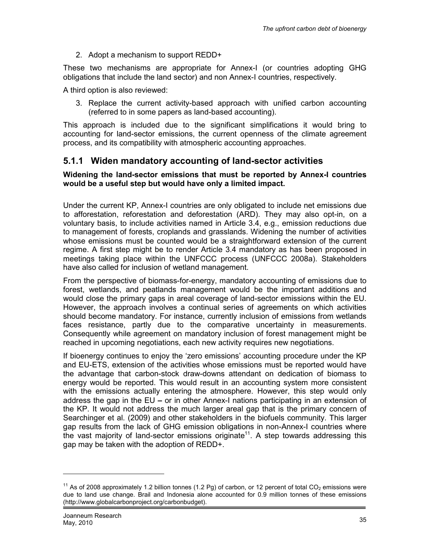2. Adopt a mechanism to support REDD+

These two mechanisms are appropriate for Annex-I (or countries adopting GHG obligations that include the land sector) and non Annex-I countries, respectively.

A third option is also reviewed:

3. Replace the current activity-based approach with unified carbon accounting (referred to in some papers as land-based accounting).

This approach is included due to the significant simplifications it would bring to accounting for land-sector emissions, the current openness of the climate agreement process, and its compatibility with atmospheric accounting approaches.

#### **5.1.1 Widen mandatory accounting of land-sector activities**

#### **Widening the land-sector emissions that must be reported by Annex-I countries would be a useful step but would have only a limited impact.**

Under the current KP, Annex-I countries are only obligated to include net emissions due to afforestation, reforestation and deforestation (ARD). They may also opt-in, on a voluntary basis, to include activities named in Article 3.4, e.g., emission reductions due to management of forests, croplands and grasslands. Widening the number of activities whose emissions must be counted would be a straightforward extension of the current regime. A first step might be to render Article 3.4 mandatory as has been proposed in meetings taking place within the UNFCCC process (UNFCCC 2008a). Stakeholders have also called for inclusion of wetland management.

From the perspective of biomass-for-energy, mandatory accounting of emissions due to forest, wetlands, and peatlands management would be the important additions and would close the primary gaps in areal coverage of land-sector emissions within the EU. However, the approach involves a continual series of agreements on which activities should become mandatory. For instance, currently inclusion of emissions from wetlands faces resistance, partly due to the comparative uncertainty in measurements. Consequently while agreement on mandatory inclusion of forest management might be reached in upcoming negotiations, each new activity requires new negotiations.

If bioenergy continues to enjoy the 'zero emissions' accounting procedure under the KP and EU-ETS, extension of the activities whose emissions must be reported would have the advantage that carbon-stock draw-downs attendant on dedication of biomass to energy would be reported. This would result in an accounting system more consistent with the emissions actually entering the atmosphere. However, this step would only address the gap in the EU *–* or in other Annex-I nations participating in an extension of the KP. It would not address the much larger areal gap that is the primary concern of Searchinger et al. (2009) and other stakeholders in the biofuels community. This larger gap results from the lack of GHG emission obligations in non-Annex-I countries where the vast majority of land-sector emissions originate<sup>11</sup>. A step towards addressing this gap may be taken with the adoption of REDD+.

<sup>&</sup>lt;sup>11</sup> As of 2008 approximately 1.2 billion tonnes (1.2 Pg) of carbon, or 12 percent of total CO<sub>2</sub> emissions were due to land use change. Brail and Indonesia alone accounted for 0.9 million tonnes of these emissions (http://www.globalcarbonproject.org/carbonbudget).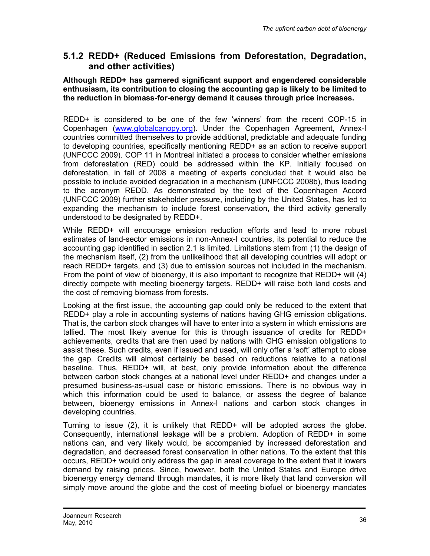#### **5.1.2 REDD+ (Reduced Emissions from Deforestation, Degradation, and other activities)**

#### **Although REDD+ has garnered significant support and engendered considerable enthusiasm, its contribution to closing the accounting gap is likely to be limited to the reduction in biomass-for-energy demand it causes through price increases.**

REDD+ is considered to be one of the few 'winners' from the recent COP-15 in Copenhagen (www.globalcanopy.org). Under the Copenhagen Agreement, Annex-I countries committed themselves to provide additional, predictable and adequate funding to developing countries, specifically mentioning REDD+ as an action to receive support (UNFCCC 2009). COP 11 in Montreal initiated a process to consider whether emissions from deforestation (RED) could be addressed within the KP. Initially focused on deforestation, in fall of 2008 a meeting of experts concluded that it would also be possible to include avoided degradation in a mechanism (UNFCCC 2008b), thus leading to the acronym REDD. As demonstrated by the text of the Copenhagen Accord (UNFCCC 2009) further stakeholder pressure, including by the United States, has led to expanding the mechanism to include forest conservation, the third activity generally understood to be designated by REDD+.

While REDD+ will encourage emission reduction efforts and lead to more robust estimates of land-sector emissions in non-Annex-I countries, its potential to reduce the accounting gap identified in section 2.1 is limited. Limitations stem from (1) the design of the mechanism itself, (2) from the unlikelihood that all developing countries will adopt or reach REDD+ targets, and (3) due to emission sources not included in the mechanism. From the point of view of bioenergy, it is also important to recognize that REDD+ will (4) directly compete with meeting bioenergy targets. REDD+ will raise both land costs and the cost of removing biomass from forests.

Looking at the first issue, the accounting gap could only be reduced to the extent that REDD+ play a role in accounting systems of nations having GHG emission obligations. That is, the carbon stock changes will have to enter into a system in which emissions are tallied. The most likely avenue for this is through issuance of credits for REDD+ achievements, credits that are then used by nations with GHG emission obligations to assist these. Such credits, even if issued and used, will only offer a 'soft' attempt to close the gap. Credits will almost certainly be based on reductions relative to a national baseline. Thus, REDD+ will, at best, only provide information about the difference between carbon stock changes at a national level under REDD+ and changes under a presumed business-as-usual case or historic emissions. There is no obvious way in which this information could be used to balance, or assess the degree of balance between, bioenergy emissions in Annex-I nations and carbon stock changes in developing countries.

Turning to issue (2), it is unlikely that REDD+ will be adopted across the globe. Consequently, international leakage will be a problem. Adoption of REDD+ in some nations can, and very likely would, be accompanied by increased deforestation and degradation, and decreased forest conservation in other nations. To the extent that this occurs, REDD+ would only address the gap in areal coverage to the extent that it lowers demand by raising prices. Since, however, both the United States and Europe drive bioenergy energy demand through mandates, it is more likely that land conversion will simply move around the globe and the cost of meeting biofuel or bioenergy mandates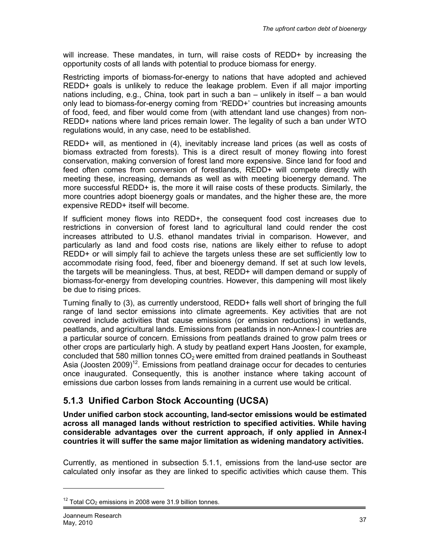will increase. These mandates, in turn, will raise costs of REDD+ by increasing the opportunity costs of all lands with potential to produce biomass for energy.

Restricting imports of biomass-for-energy to nations that have adopted and achieved REDD+ goals is unlikely to reduce the leakage problem. Even if all major importing nations including, e.g., China, took part in such a ban – unlikely in itself – a ban would only lead to biomass-for-energy coming from 'REDD+' countries but increasing amounts of food, feed, and fiber would come from (with attendant land use changes) from non-REDD+ nations where land prices remain lower. The legality of such a ban under WTO regulations would, in any case, need to be established.

REDD+ will, as mentioned in (4), inevitably increase land prices (as well as costs of biomass extracted from forests). This is a direct result of money flowing into forest conservation, making conversion of forest land more expensive. Since land for food and feed often comes from conversion of forestlands, REDD+ will compete directly with meeting these, increasing, demands as well as with meeting bioenergy demand. The more successful REDD+ is, the more it will raise costs of these products. Similarly, the more countries adopt bioenergy goals or mandates, and the higher these are, the more expensive REDD+ itself will become.

If sufficient money flows into REDD+, the consequent food cost increases due to restrictions in conversion of forest land to agricultural land could render the cost increases attributed to U.S. ethanol mandates trivial in comparison. However, and particularly as land and food costs rise, nations are likely either to refuse to adopt REDD+ or will simply fail to achieve the targets unless these are set sufficiently low to accommodate rising food, feed, fiber and bioenergy demand. If set at such low levels, the targets will be meaningless. Thus, at best, REDD+ will dampen demand or supply of biomass-for-energy from developing countries. However, this dampening will most likely be due to rising prices.

Turning finally to (3), as currently understood, REDD+ falls well short of bringing the full range of land sector emissions into climate agreements. Key activities that are not covered include activities that cause emissions (or emission reductions) in wetlands, peatlands, and agricultural lands. Emissions from peatlands in non-Annex-I countries are a particular source of concern. Emissions from peatlands drained to grow palm trees or other crops are particularly high. A study by peatland expert Hans Joosten, for example, concluded that 580 million tonnes  $CO<sub>2</sub>$  were emitted from drained peatlands in Southeast Asia (Joosten 2009)<sup>12</sup>. Emissions from peatland drainage occur for decades to centuries once inaugurated. Consequently, this is another instance where taking account of emissions due carbon losses from lands remaining in a current use would be critical.

### **5.1.3 Unified Carbon Stock Accounting (UCSA)**

**Under unified carbon stock accounting, land-sector emissions would be estimated across all managed lands without restriction to specified activities. While having considerable advantages over the current approach, if only applied in Annex-I countries it will suffer the same major limitation as widening mandatory activities.** 

Currently, as mentioned in subsection 5.1.1, emissions from the land-use sector are calculated only insofar as they are linked to specific activities which cause them. This

-

 $12$  Total CO<sub>2</sub> emissions in 2008 were 31.9 billion tonnes.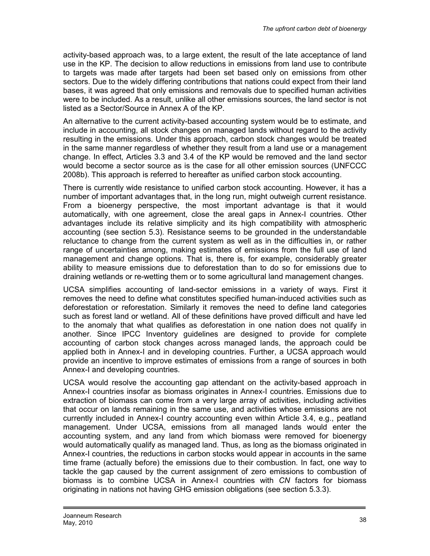activity-based approach was, to a large extent, the result of the late acceptance of land use in the KP. The decision to allow reductions in emissions from land use to contribute to targets was made after targets had been set based only on emissions from other sectors. Due to the widely differing contributions that nations could expect from their land bases, it was agreed that only emissions and removals due to specified human activities were to be included. As a result, unlike all other emissions sources, the land sector is not listed as a Sector/Source in Annex A of the KP.

An alternative to the current activity-based accounting system would be to estimate, and include in accounting, all stock changes on managed lands without regard to the activity resulting in the emissions. Under this approach, carbon stock changes would be treated in the same manner regardless of whether they result from a land use or a management change. In effect, Articles 3.3 and 3.4 of the KP would be removed and the land sector would become a sector source as is the case for all other emission sources (UNFCCC 2008b). This approach is referred to hereafter as unified carbon stock accounting.

There is currently wide resistance to unified carbon stock accounting. However, it has a number of important advantages that, in the long run, might outweigh current resistance. From a bioenergy perspective, the most important advantage is that it would automatically, with one agreement, close the areal gaps in Annex-I countries. Other advantages include its relative simplicity and its high compatibility with atmospheric accounting (see section 5.3). Resistance seems to be grounded in the understandable reluctance to change from the current system as well as in the difficulties in, or rather range of uncertainties among, making estimates of emissions from the full use of land management and change options. That is, there is, for example, considerably greater ability to measure emissions due to deforestation than to do so for emissions due to draining wetlands or re-wetting them or to some agricultural land management changes.

UCSA simplifies accounting of land-sector emissions in a variety of ways. First it removes the need to define what constitutes specified human-induced activities such as deforestation or reforestation. Similarly it removes the need to define land categories such as forest land or wetland. All of these definitions have proved difficult and have led to the anomaly that what qualifies as deforestation in one nation does not qualify in another. Since IPCC Inventory guidelines are designed to provide for complete accounting of carbon stock changes across managed lands, the approach could be applied both in Annex-I and in developing countries. Further, a UCSA approach would provide an incentive to improve estimates of emissions from a range of sources in both Annex-I and developing countries.

UCSA would resolve the accounting gap attendant on the activity-based approach in Annex-I countries insofar as biomass originates in Annex-I countries. Emissions due to extraction of biomass can come from a very large array of activities, including activities that occur on lands remaining in the same use, and activities whose emissions are not currently included in Annex-I country accounting even within Article 3.4, e.g., peatland management. Under UCSA, emissions from all managed lands would enter the accounting system, and any land from which biomass were removed for bioenergy would automatically qualify as managed land. Thus, as long as the biomass originated in Annex-I countries, the reductions in carbon stocks would appear in accounts in the same time frame (actually before) the emissions due to their combustion. In fact, one way to tackle the gap caused by the current assignment of zero emissions to combustion of biomass is to combine UCSA in Annex-I countries with *CN* factors for biomass originating in nations not having GHG emission obligations (see section 5.3.3).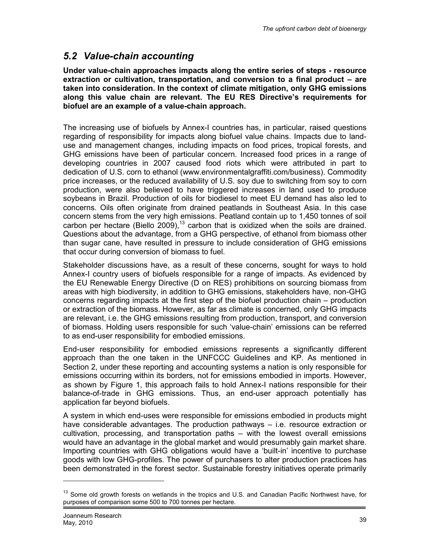### *5.2 Value-chain accounting*

**Under value-chain approaches impacts along the entire series of steps - resource extraction or cultivation, transportation, and conversion to a final product – are taken into consideration. In the context of climate mitigation, only GHG emissions along this value chain are relevant. The EU RES Directive's requirements for biofuel are an example of a value-chain approach.** 

The increasing use of biofuels by Annex-I countries has, in particular, raised questions regarding of responsibility for impacts along biofuel value chains. Impacts due to landuse and management changes, including impacts on food prices, tropical forests, and GHG emissions have been of particular concern. Increased food prices in a range of developing countries in 2007 caused food riots which were attributed in part to dedication of U.S. corn to ethanol (www.environmentalgraffiti.com/business). Commodity price increases, or the reduced availability of U.S. soy due to switching from soy to corn production, were also believed to have triggered increases in land used to produce soybeans in Brazil. Production of oils for biodiesel to meet EU demand has also led to concerns. Oils often originate from drained peatlands in Southeast Asia. In this case concern stems from the very high emissions. Peatland contain up to 1,450 tonnes of soil carbon per hectare (Biello  $2009$ ),<sup>13</sup> carbon that is oxidized when the soils are drained. Questions about the advantage, from a GHG perspective, of ethanol from biomass other than sugar cane, have resulted in pressure to include consideration of GHG emissions that occur during conversion of biomass to fuel.

Stakeholder discussions have, as a result of these concerns, sought for ways to hold Annex-I country users of biofuels responsible for a range of impacts. As evidenced by the EU Renewable Energy Directive (D on RES) prohibitions on sourcing biomass from areas with high biodiversity, in addition to GHG emissions, stakeholders have, non-GHG concerns regarding impacts at the first step of the biofuel production chain – production or extraction of the biomass. However, as far as climate is concerned, only GHG impacts are relevant, i.e. the GHG emissions resulting from production, transport, and conversion of biomass. Holding users responsible for such 'value-chain' emissions can be referred to as end-user responsibility for embodied emissions.

End-user responsibility for embodied emissions represents a significantly different approach than the one taken in the UNFCCC Guidelines and KP. As mentioned in Section 2, under these reporting and accounting systems a nation is only responsible for emissions occurring within its borders, not for emissions embodied in imports. However, as shown by Figure 1, this approach fails to hold Annex-I nations responsible for their balance-of-trade in GHG emissions. Thus, an end-user approach potentially has application far beyond biofuels.

A system in which end-uses were responsible for emissions embodied in products might have considerable advantages. The production pathways – i.e. resource extraction or cultivation, processing, and transportation paths – with the lowest overall emissions would have an advantage in the global market and would presumably gain market share. Importing countries with GHG obligations would have a 'built-in' incentive to purchase goods with low GHG-profiles. The power of purchasers to alter production practices has been demonstrated in the forest sector. Sustainable forestry initiatives operate primarily

-

<sup>&</sup>lt;sup>13</sup> Some old growth forests on wetlands in the tropics and U.S. and Canadian Pacific Northwest have, for purposes of comparison some 500 to 700 tonnes per hectare.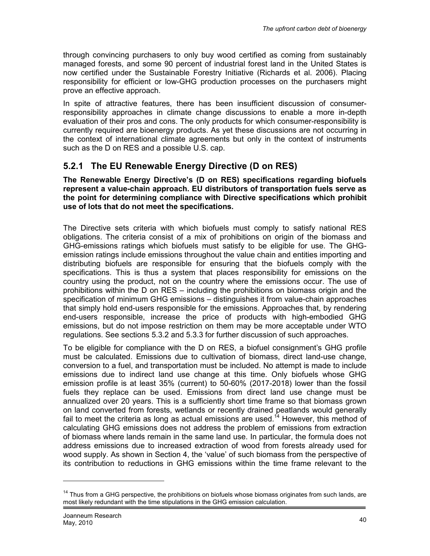through convincing purchasers to only buy wood certified as coming from sustainably managed forests, and some 90 percent of industrial forest land in the United States is now certified under the Sustainable Forestry Initiative (Richards et al. 2006). Placing responsibility for efficient or low-GHG production processes on the purchasers might prove an effective approach.

In spite of attractive features, there has been insufficient discussion of consumerresponsibility approaches in climate change discussions to enable a more in-depth evaluation of their pros and cons. The only products for which consumer-responsibility is currently required are bioenergy products. As yet these discussions are not occurring in the context of international climate agreements but only in the context of instruments such as the D on RES and a possible U.S. cap.

### **5.2.1 The EU Renewable Energy Directive (D on RES)**

**The Renewable Energy Directive's (D on RES) specifications regarding biofuels represent a value-chain approach. EU distributors of transportation fuels serve as the point for determining compliance with Directive specifications which prohibit use of lots that do not meet the specifications.** 

The Directive sets criteria with which biofuels must comply to satisfy national RES obligations. The criteria consist of a mix of prohibitions on origin of the biomass and GHG-emissions ratings which biofuels must satisfy to be eligible for use. The GHGemission ratings include emissions throughout the value chain and entities importing and distributing biofuels are responsible for ensuring that the biofuels comply with the specifications. This is thus a system that places responsibility for emissions on the country using the product, not on the country where the emissions occur. The use of prohibitions within the D on RES – including the prohibitions on biomass origin and the specification of minimum GHG emissions – distinguishes it from value-chain approaches that simply hold end-users responsible for the emissions. Approaches that, by rendering end-users responsible, increase the price of products with high-embodied GHG emissions, but do not impose restriction on them may be more acceptable under WTO regulations. See sections 5.3.2 and 5.3.3 for further discussion of such approaches.

To be eligible for compliance with the D on RES, a biofuel consignment's GHG profile must be calculated. Emissions due to cultivation of biomass, direct land-use change, conversion to a fuel, and transportation must be included. No attempt is made to include emissions due to indirect land use change at this time. Only biofuels whose GHG emission profile is at least 35% (current) to 50-60% (2017-2018) lower than the fossil fuels they replace can be used. Emissions from direct land use change must be annualized over 20 years. This is a sufficiently short time frame so that biomass grown on land converted from forests, wetlands or recently drained peatlands would generally fail to meet the criteria as long as actual emissions are used.<sup>14</sup> However, this method of calculating GHG emissions does not address the problem of emissions from extraction of biomass where lands remain in the same land use. In particular, the formula does not address emissions due to increased extraction of wood from forests already used for wood supply. As shown in Section 4, the 'value' of such biomass from the perspective of its contribution to reductions in GHG emissions within the time frame relevant to the

-

<sup>&</sup>lt;sup>14</sup> Thus from a GHG perspective, the prohibitions on biofuels whose biomass originates from such lands, are most likely redundant with the time stipulations in the GHG emission calculation.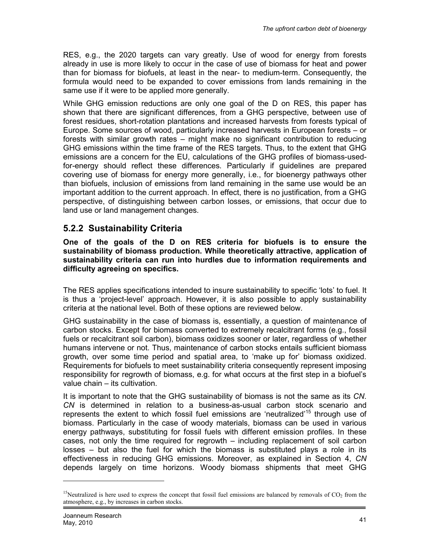RES, e.g., the 2020 targets can vary greatly. Use of wood for energy from forests already in use is more likely to occur in the case of use of biomass for heat and power than for biomass for biofuels, at least in the near- to medium-term. Consequently, the formula would need to be expanded to cover emissions from lands remaining in the same use if it were to be applied more generally.

While GHG emission reductions are only one goal of the D on RES, this paper has shown that there are significant differences, from a GHG perspective, between use of forest residues, short-rotation plantations and increased harvests from forests typical of Europe. Some sources of wood, particularly increased harvests in European forests – or forests with similar growth rates – might make no significant contribution to reducing GHG emissions within the time frame of the RES targets. Thus, to the extent that GHG emissions are a concern for the EU, calculations of the GHG profiles of biomass-usedfor-energy should reflect these differences. Particularly if guidelines are prepared covering use of biomass for energy more generally, i.e., for bioenergy pathways other than biofuels, inclusion of emissions from land remaining in the same use would be an important addition to the current approach. In effect, there is no justification, from a GHG perspective, of distinguishing between carbon losses, or emissions, that occur due to land use or land management changes.

#### **5.2.2 Sustainability Criteria**

**One of the goals of the D on RES criteria for biofuels is to ensure the sustainability of biomass production. While theoretically attractive, application of sustainability criteria can run into hurdles due to information requirements and difficulty agreeing on specifics.** 

The RES applies specifications intended to insure sustainability to specific 'lots' to fuel. It is thus a 'project-level' approach. However, it is also possible to apply sustainability criteria at the national level. Both of these options are reviewed below.

GHG sustainability in the case of biomass is, essentially, a question of maintenance of carbon stocks. Except for biomass converted to extremely recalcitrant forms (e.g., fossil fuels or recalcitrant soil carbon), biomass oxidizes sooner or later, regardless of whether humans intervene or not. Thus, maintenance of carbon stocks entails sufficient biomass growth, over some time period and spatial area, to 'make up for' biomass oxidized. Requirements for biofuels to meet sustainability criteria consequently represent imposing responsibility for regrowth of biomass, e.g. for what occurs at the first step in a biofuel's value chain – its cultivation.

It is important to note that the GHG sustainability of biomass is not the same as its *CN*. *CN* is determined in relation to a business-as-usual carbon stock scenario and represents the extent to which fossil fuel emissions are 'neutralized'<sup>15</sup> through use of biomass. Particularly in the case of woody materials, biomass can be used in various energy pathways, substituting for fossil fuels with different emission profiles. In these cases, not only the time required for regrowth – including replacement of soil carbon losses – but also the fuel for which the biomass is substituted plays a role in its effectiveness in reducing GHG emissions. Moreover, as explained in Section 4, *CN* depends largely on time horizons. Woody biomass shipments that meet GHG

 $\overline{a}$ 

<sup>&</sup>lt;sup>15</sup>Neutralized is here used to express the concept that fossil fuel emissions are balanced by removals of  $CO<sub>2</sub>$  from the atmosphere, e.g., by increases in carbon stocks.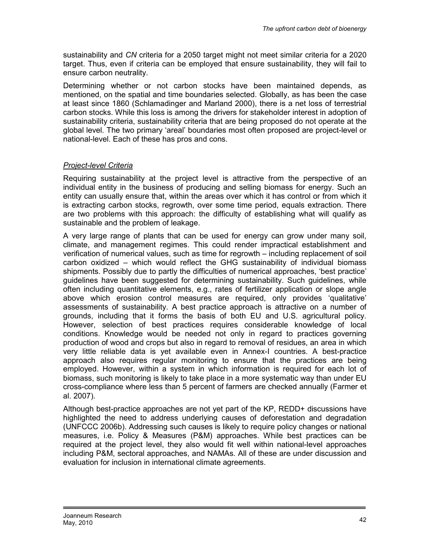sustainability and *CN* criteria for a 2050 target might not meet similar criteria for a 2020 target. Thus, even if criteria can be employed that ensure sustainability, they will fail to ensure carbon neutrality.

Determining whether or not carbon stocks have been maintained depends, as mentioned, on the spatial and time boundaries selected. Globally, as has been the case at least since 1860 (Schlamadinger and Marland 2000), there is a net loss of terrestrial carbon stocks. While this loss is among the drivers for stakeholder interest in adoption of sustainability criteria, sustainability criteria that are being proposed do not operate at the global level. The two primary 'areal' boundaries most often proposed are project-level or national-level. Each of these has pros and cons.

#### *Project-level Criteria*

Requiring sustainability at the project level is attractive from the perspective of an individual entity in the business of producing and selling biomass for energy. Such an entity can usually ensure that, within the areas over which it has control or from which it is extracting carbon stocks, regrowth, over some time period, equals extraction. There are two problems with this approach: the difficulty of establishing what will qualify as sustainable and the problem of leakage.

A very large range of plants that can be used for energy can grow under many soil, climate, and management regimes. This could render impractical establishment and verification of numerical values, such as time for regrowth – including replacement of soil carbon oxidized – which would reflect the GHG sustainability of individual biomass shipments. Possibly due to partly the difficulties of numerical approaches, 'best practice' guidelines have been suggested for determining sustainability. Such guidelines, while often including quantitative elements, e.g., rates of fertilizer application or slope angle above which erosion control measures are required, only provides 'qualitative' assessments of sustainability. A best practice approach is attractive on a number of grounds, including that it forms the basis of both EU and U.S. agricultural policy. However, selection of best practices requires considerable knowledge of local conditions. Knowledge would be needed not only in regard to practices governing production of wood and crops but also in regard to removal of residues, an area in which very little reliable data is yet available even in Annex-I countries. A best-practice approach also requires regular monitoring to ensure that the practices are being employed. However, within a system in which information is required for each lot of biomass, such monitoring is likely to take place in a more systematic way than under EU cross-compliance where less than 5 percent of farmers are checked annually (Farmer et al. 2007).

Although best-practice approaches are not yet part of the KP, REDD+ discussions have highlighted the need to address underlying causes of deforestation and degradation (UNFCCC 2006b). Addressing such causes is likely to require policy changes or national measures, i.e. Policy & Measures (P&M) approaches. While best practices can be required at the project level, they also would fit well within national-level approaches including P&M, sectoral approaches, and NAMAs. All of these are under discussion and evaluation for inclusion in international climate agreements.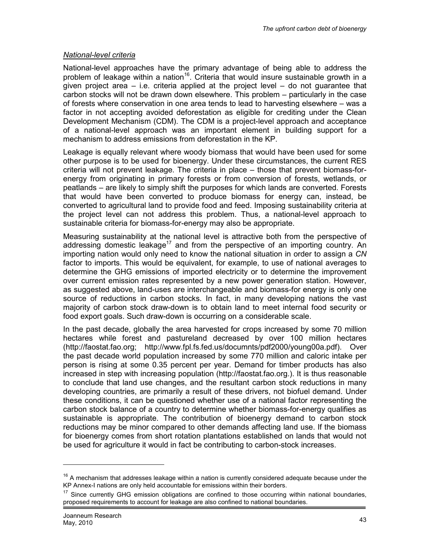#### *National-level criteria*

National-level approaches have the primary advantage of being able to address the problem of leakage within a nation<sup>16</sup>. Criteria that would insure sustainable growth in a given project area – i.e. criteria applied at the project level – do not guarantee that carbon stocks will not be drawn down elsewhere. This problem – particularly in the case of forests where conservation in one area tends to lead to harvesting elsewhere – was a factor in not accepting avoided deforestation as eligible for crediting under the Clean Development Mechanism (CDM). The CDM is a project-level approach and acceptance of a national-level approach was an important element in building support for a mechanism to address emissions from deforestation in the KP.

Leakage is equally relevant where woody biomass that would have been used for some other purpose is to be used for bioenergy. Under these circumstances, the current RES criteria will not prevent leakage. The criteria in place – those that prevent biomass-forenergy from originating in primary forests or from conversion of forests, wetlands, or peatlands – are likely to simply shift the purposes for which lands are converted. Forests that would have been converted to produce biomass for energy can, instead, be converted to agricultural land to provide food and feed. Imposing sustainability criteria at the project level can not address this problem. Thus, a national-level approach to sustainable criteria for biomass-for-energy may also be appropriate.

Measuring sustainability at the national level is attractive both from the perspective of addressing domestic leakage<sup>17</sup> and from the perspective of an importing country. An importing nation would only need to know the national situation in order to assign a *CN* factor to imports. This would be equivalent, for example, to use of national averages to determine the GHG emissions of imported electricity or to determine the improvement over current emission rates represented by a new power generation station. However, as suggested above, land-uses are interchangeable and biomass-for energy is only one source of reductions in carbon stocks. In fact, in many developing nations the vast majority of carbon stock draw-down is to obtain land to meet internal food security or food export goals. Such draw-down is occurring on a considerable scale.

In the past decade, globally the area harvested for crops increased by some 70 million hectares while forest and pastureland decreased by over 100 million hectares (http://faostat.fao.org; http://www.fpl.fs.fed.us/documnts/pdf2000/young00a.pdf). Over the past decade world population increased by some 770 million and caloric intake per person is rising at some 0.35 percent per year. Demand for timber products has also increased in step with increasing population (http://faostat.fao.org.). It is thus reasonable to conclude that land use changes, and the resultant carbon stock reductions in many developing countries, are primarily a result of these drivers, not biofuel demand. Under these conditions, it can be questioned whether use of a national factor representing the carbon stock balance of a country to determine whether biomass-for-energy qualifies as sustainable is appropriate. The contribution of bioenergy demand to carbon stock reductions may be minor compared to other demands affecting land use. If the biomass for bioenergy comes from short rotation plantations established on lands that would not be used for agriculture it would in fact be contributing to carbon-stock increases.

-

 $16$  A mechanism that addresses leakage within a nation is currently considered adequate because under the KP Annex-I nations are only held accountable for emissions within their borders.

<sup>&</sup>lt;sup>17</sup> Since currently GHG emission obligations are confined to those occurring within national boundaries, proposed requirements to account for leakage are also confined to national boundaries.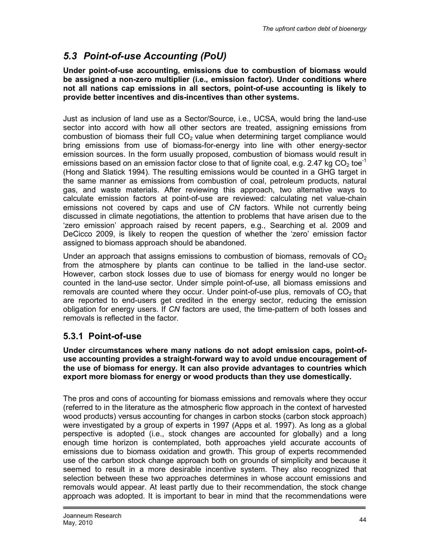## *5.3 Point-of-use Accounting (PoU)*

**Under point-of-use accounting, emissions due to combustion of biomass would be assigned a non-zero multiplier (i.e., emission factor). Under conditions where not all nations cap emissions in all sectors, point-of-use accounting is likely to provide better incentives and dis-incentives than other systems.** 

Just as inclusion of land use as a Sector/Source, i.e., UCSA, would bring the land-use sector into accord with how all other sectors are treated, assigning emissions from combustion of biomass their full  $CO<sub>2</sub>$  value when determining target compliance would bring emissions from use of biomass-for-energy into line with other energy-sector emission sources. In the form usually proposed, combustion of biomass would result in emissions based on an emission factor close to that of lignite coal, e.g. 2.47 kg CO<sub>2</sub> toe<sup>-1</sup> (Hong and Slatick 1994). The resulting emissions would be counted in a GHG target in the same manner as emissions from combustion of coal, petroleum products, natural gas, and waste materials. After reviewing this approach, two alternative ways to calculate emission factors at point-of-use are reviewed: calculating net value-chain emissions not covered by caps and use of *CN* factors. While not currently being discussed in climate negotiations, the attention to problems that have arisen due to the 'zero emission' approach raised by recent papers, e.g., Searching et al. 2009 and DeCicco 2009, is likely to reopen the question of whether the 'zero' emission factor assigned to biomass approach should be abandoned.

Under an approach that assigns emissions to combustion of biomass, removals of  $CO<sub>2</sub>$ from the atmosphere by plants can continue to be tallied in the land-use sector. However, carbon stock losses due to use of biomass for energy would no longer be counted in the land-use sector. Under simple point-of-use, all biomass emissions and removals are counted where they occur. Under point-of-use plus, removals of  $CO<sub>2</sub>$  that are reported to end-users get credited in the energy sector, reducing the emission obligation for energy users. If *CN* factors are used, the time-pattern of both losses and removals is reflected in the factor.

### **5.3.1 Point-of-use**

**Under circumstances where many nations do not adopt emission caps, point-ofuse accounting provides a straight-forward way to avoid undue encouragement of the use of biomass for energy. It can also provide advantages to countries which export more biomass for energy or wood products than they use domestically.** 

The pros and cons of accounting for biomass emissions and removals where they occur (referred to in the literature as the atmospheric flow approach in the context of harvested wood products) versus accounting for changes in carbon stocks (carbon stock approach) were investigated by a group of experts in 1997 (Apps et al. 1997). As long as a global perspective is adopted (i.e., stock changes are accounted for globally) and a long enough time horizon is contemplated, both approaches yield accurate accounts of emissions due to biomass oxidation and growth. This group of experts recommended use of the carbon stock change approach both on grounds of simplicity and because it seemed to result in a more desirable incentive system. They also recognized that selection between these two approaches determines in whose account emissions and removals would appear. At least partly due to their recommendation, the stock change approach was adopted. It is important to bear in mind that the recommendations were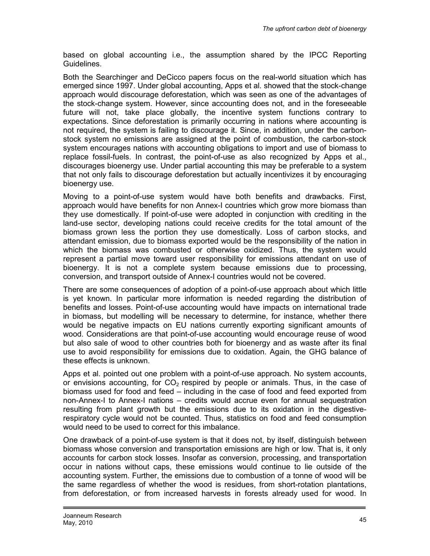based on global accounting i.e., the assumption shared by the IPCC Reporting Guidelines.

Both the Searchinger and DeCicco papers focus on the real-world situation which has emerged since 1997. Under global accounting, Apps et al. showed that the stock-change approach would discourage deforestation, which was seen as one of the advantages of the stock-change system. However, since accounting does not, and in the foreseeable future will not, take place globally, the incentive system functions contrary to expectations. Since deforestation is primarily occurring in nations where accounting is not required, the system is failing to discourage it. Since, in addition, under the carbonstock system no emissions are assigned at the point of combustion, the carbon-stock system encourages nations with accounting obligations to import and use of biomass to replace fossil-fuels. In contrast, the point-of-use as also recognized by Apps et al., discourages bioenergy use. Under partial accounting this may be preferable to a system that not only fails to discourage deforestation but actually incentivizes it by encouraging bioenergy use.

Moving to a point-of-use system would have both benefits and drawbacks. First, approach would have benefits for non Annex-I countries which grow more biomass than they use domestically. If point-of-use were adopted in conjunction with crediting in the land-use sector, developing nations could receive credits for the total amount of the biomass grown less the portion they use domestically. Loss of carbon stocks, and attendant emission, due to biomass exported would be the responsibility of the nation in which the biomass was combusted or otherwise oxidized. Thus, the system would represent a partial move toward user responsibility for emissions attendant on use of bioenergy. It is not a complete system because emissions due to processing, conversion, and transport outside of Annex-I countries would not be covered.

There are some consequences of adoption of a point-of-use approach about which little is yet known. In particular more information is needed regarding the distribution of benefits and losses. Point-of-use accounting would have impacts on international trade in biomass, but modelling will be necessary to determine, for instance, whether there would be negative impacts on EU nations currently exporting significant amounts of wood. Considerations are that point-of-use accounting would encourage reuse of wood but also sale of wood to other countries both for bioenergy and as waste after its final use to avoid responsibility for emissions due to oxidation. Again, the GHG balance of these effects is unknown.

Apps et al. pointed out one problem with a point-of-use approach. No system accounts, or envisions accounting, for  $CO<sub>2</sub>$  respired by people or animals. Thus, in the case of biomass used for food and feed – including in the case of food and feed exported from non-Annex-I to Annex-I nations – credits would accrue even for annual sequestration resulting from plant growth but the emissions due to its oxidation in the digestiverespiratory cycle would not be counted. Thus, statistics on food and feed consumption would need to be used to correct for this imbalance.

One drawback of a point-of-use system is that it does not, by itself, distinguish between biomass whose conversion and transportation emissions are high or low. That is, it only accounts for carbon stock losses. Insofar as conversion, processing, and transportation occur in nations without caps, these emissions would continue to lie outside of the accounting system. Further, the emissions due to combustion of a tonne of wood will be the same regardless of whether the wood is residues, from short-rotation plantations, from deforestation, or from increased harvests in forests already used for wood. In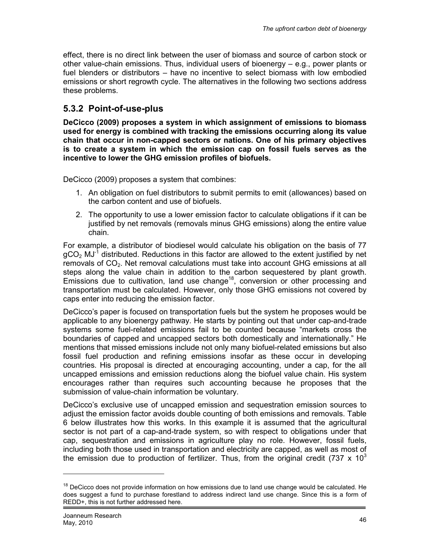effect, there is no direct link between the user of biomass and source of carbon stock or other value-chain emissions. Thus, individual users of bioenergy – e.g., power plants or fuel blenders or distributors – have no incentive to select biomass with low embodied emissions or short regrowth cycle. The alternatives in the following two sections address these problems.

#### **5.3.2 Point-of-use-plus**

**DeCicco (2009) proposes a system in which assignment of emissions to biomass used for energy is combined with tracking the emissions occurring along its value chain that occur in non-capped sectors or nations. One of his primary objectives is to create a system in which the emission cap on fossil fuels serves as the incentive to lower the GHG emission profiles of biofuels.** 

DeCicco (2009) proposes a system that combines:

- 1. An obligation on fuel distributors to submit permits to emit (allowances) based on the carbon content and use of biofuels.
- 2. The opportunity to use a lower emission factor to calculate obligations if it can be justified by net removals (removals minus GHG emissions) along the entire value chain.

For example, a distributor of biodiesel would calculate his obligation on the basis of 77  $qCO<sub>2</sub>$  MJ<sup>-1</sup> distributed. Reductions in this factor are allowed to the extent justified by net removals of  $CO<sub>2</sub>$ . Net removal calculations must take into account GHG emissions at all steps along the value chain in addition to the carbon sequestered by plant growth. Emissions due to cultivation, land use change<sup>18</sup>, conversion or other processing and transportation must be calculated. However, only those GHG emissions not covered by caps enter into reducing the emission factor.

DeCicco's paper is focused on transportation fuels but the system he proposes would be applicable to any bioenergy pathway. He starts by pointing out that under cap-and-trade systems some fuel-related emissions fail to be counted because "markets cross the boundaries of capped and uncapped sectors both domestically and internationally." He mentions that missed emissions include not only many biofuel-related emissions but also fossil fuel production and refining emissions insofar as these occur in developing countries. His proposal is directed at encouraging accounting, under a cap, for the all uncapped emissions and emission reductions along the biofuel value chain. His system encourages rather than requires such accounting because he proposes that the submission of value-chain information be voluntary.

DeCicco's exclusive use of uncapped emission and sequestration emission sources to adjust the emission factor avoids double counting of both emissions and removals. Table 6 below illustrates how this works. In this example it is assumed that the agricultural sector is not part of a cap-and-trade system, so with respect to obligations under that cap, sequestration and emissions in agriculture play no role. However, fossil fuels, including both those used in transportation and electricity are capped, as well as most of the emission due to production of fertilizer. Thus, from the original credit (737 x 10<sup>3</sup>)

 $18$  DeCicco does not provide information on how emissions due to land use change would be calculated. He does suggest a fund to purchase forestland to address indirect land use change. Since this is a form of REDD+, this is not further addressed here.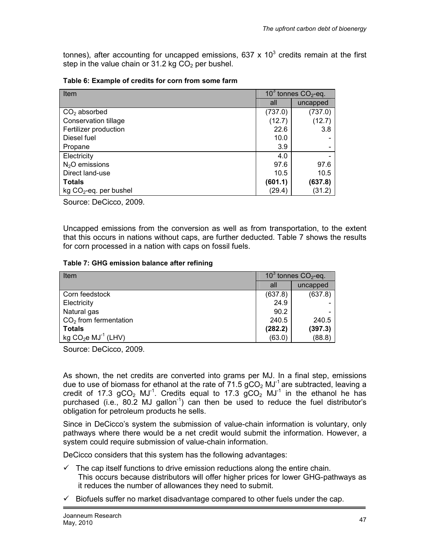tonnes), after accounting for uncapped emissions, 637 x 10<sup>3</sup> credits remain at the first step in the value chain or  $31.2$  kg  $CO<sub>2</sub>$  per bushel.

| Table 6: Example of credits for corn from some farm |  |  |
|-----------------------------------------------------|--|--|
|-----------------------------------------------------|--|--|

| ltem                        |         | 10 $\degree$ tonnes CO <sub>2</sub> -eq. |  |
|-----------------------------|---------|------------------------------------------|--|
|                             | all     | uncapped                                 |  |
| $CO2$ absorbed              | (737.0) | (737.0)                                  |  |
| <b>Conservation tillage</b> | (12.7)  | (12.7)                                   |  |
| Fertilizer production       | 22.6    | 3.8                                      |  |
| Diesel fuel                 | 10.0    |                                          |  |
| Propane                     | 3.9     |                                          |  |
| Electricity                 | 4.0     |                                          |  |
| $N2O$ emissions             | 97.6    | 97.6                                     |  |
| Direct land-use             | 10.5    | 10.5                                     |  |
| <b>Totals</b>               | (601.1) | (637.8)                                  |  |
| kg $CO2$ -eq. per bushel    | (29.4)  | (31.2)                                   |  |

Source: DeCicco, 2009.

Uncapped emissions from the conversion as well as from transportation, to the extent that this occurs in nations without caps, are further deducted. Table 7 shows the results for corn processed in a nation with caps on fossil fuels.

#### **Table 7: GHG emission balance after refining**

| $\overline{\phantom{a}}$ Item               | $103$ tonnes $CO2$ -eq. |          |
|---------------------------------------------|-------------------------|----------|
|                                             | all                     | uncapped |
| Corn feedstock                              | (637.8)                 | (637.8)  |
| Electricity                                 | 24.9                    |          |
| Natural gas                                 | 90.2                    |          |
| $CO2$ from fermentation                     | 240.5                   | 240.5    |
| <b>Totals</b>                               | (282.2)                 | (397.3)  |
| kg CO <sub>2</sub> e MJ <sup>-1</sup> (LHV) | (63.0)                  | (88.8)   |

Source: DeCicco, 2009.

As shown, the net credits are converted into grams per MJ. In a final step, emissions due to use of biomass for ethanol at the rate of 71.5 gCO<sub>2</sub> MJ<sup>-1</sup> are subtracted, leaving a credit of 17.3 gCO<sub>2</sub> MJ<sup>-1</sup>. Credits equal to 17.3 gCO<sub>2</sub> MJ<sup>-1</sup> in the ethanol he has purchased (i.e., 80.2 MJ gallon<sup>-1</sup>) can then be used to reduce the fuel distributor's obligation for petroleum products he sells.

Since in DeCicco's system the submission of value-chain information is voluntary, only pathways where there would be a net credit would submit the information. However, a system could require submission of value-chain information.

DeCicco considers that this system has the following advantages:

- $\checkmark$  The cap itself functions to drive emission reductions along the entire chain. This occurs because distributors will offer higher prices for lower GHG-pathways as it reduces the number of allowances they need to submit.
- $\checkmark$  Biofuels suffer no market disadvantage compared to other fuels under the cap.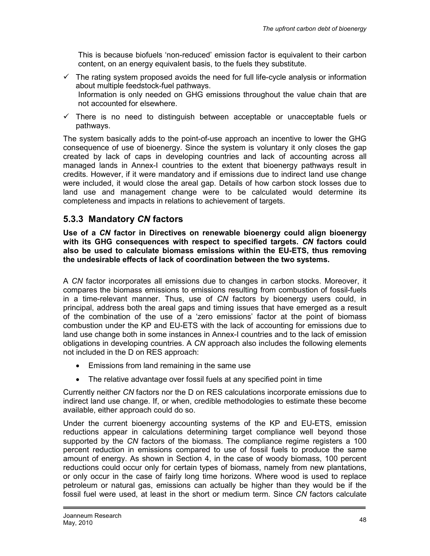This is because biofuels 'non-reduced' emission factor is equivalent to their carbon content, on an energy equivalent basis, to the fuels they substitute.

- $\checkmark$  The rating system proposed avoids the need for full life-cycle analysis or information about multiple feedstock-fuel pathways. Information is only needed on GHG emissions throughout the value chain that are not accounted for elsewhere.
- $\checkmark$  There is no need to distinguish between acceptable or unacceptable fuels or pathways.

The system basically adds to the point-of-use approach an incentive to lower the GHG consequence of use of bioenergy. Since the system is voluntary it only closes the gap created by lack of caps in developing countries and lack of accounting across all managed lands in Annex-I countries to the extent that bioenergy pathways result in credits. However, if it were mandatory and if emissions due to indirect land use change were included, it would close the areal gap. Details of how carbon stock losses due to land use and management change were to be calculated would determine its completeness and impacts in relations to achievement of targets.

### **5.3.3 Mandatory** *CN* **factors**

**Use of a** *CN* **factor in Directives on renewable bioenergy could align bioenergy with its GHG consequences with respect to specified targets.** *CN* **factors could also be used to calculate biomass emissions within the EU-ETS, thus removing the undesirable effects of lack of coordination between the two systems.** 

A *CN* factor incorporates all emissions due to changes in carbon stocks. Moreover, it compares the biomass emissions to emissions resulting from combustion of fossil-fuels in a time-relevant manner. Thus, use of *CN* factors by bioenergy users could, in principal, address both the areal gaps and timing issues that have emerged as a result of the combination of the use of a 'zero emissions' factor at the point of biomass combustion under the KP and EU-ETS with the lack of accounting for emissions due to land use change both in some instances in Annex-I countries and to the lack of emission obligations in developing countries. A *CN* approach also includes the following elements not included in the D on RES approach:

- Emissions from land remaining in the same use
- The relative advantage over fossil fuels at any specified point in time

Currently neither *CN* factors nor the D on RES calculations incorporate emissions due to indirect land use change. If, or when, credible methodologies to estimate these become available, either approach could do so.

Under the current bioenergy accounting systems of the KP and EU-ETS, emission reductions appear in calculations determining target compliance well beyond those supported by the *CN* factors of the biomass. The compliance regime registers a 100 percent reduction in emissions compared to use of fossil fuels to produce the same amount of energy. As shown in Section 4, in the case of woody biomass, 100 percent reductions could occur only for certain types of biomass, namely from new plantations, or only occur in the case of fairly long time horizons. Where wood is used to replace petroleum or natural gas, emissions can actually be higher than they would be if the fossil fuel were used, at least in the short or medium term. Since *CN* factors calculate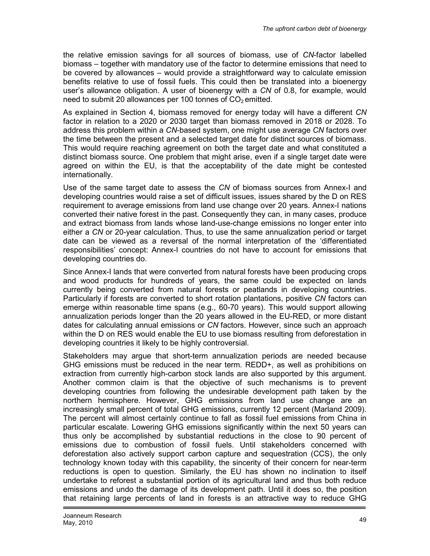the relative emission savings for all sources of biomass, use of *CN*-factor labelled biomass – together with mandatory use of the factor to determine emissions that need to be covered by allowances – would provide a straightforward way to calculate emission benefits relative to use of fossil fuels. This could then be translated into a bioenergy user's allowance obligation. A user of bioenergy with a *CN* of 0.8, for example, would need to submit 20 allowances per 100 tonnes of  $CO<sub>2</sub>$  emitted.

As explained in Section 4, biomass removed for energy today will have a different *CN* factor in relation to a 2020 or 2030 target than biomass removed in 2018 or 2028. To address this problem within a *CN*-based system, one might use average *CN* factors over the time between the present and a selected target date for distinct sources of biomass. This would require reaching agreement on both the target date and what constituted a distinct biomass source. One problem that might arise, even if a single target date were agreed on within the EU, is that the acceptability of the date might be contested internationally.

Use of the same target date to assess the *CN* of biomass sources from Annex-I and developing countries would raise a set of difficult issues, issues shared by the D on RES requirement to average emissions from land use change over 20 years. Annex-I nations converted their native forest in the past. Consequently they can, in many cases, produce and extract biomass from lands whose land-use-change emissions no longer enter into either a *CN* or 20-year calculation. Thus, to use the same annualization period or target date can be viewed as a reversal of the normal interpretation of the 'differentiated responsibilities' concept: Annex-I countries do not have to account for emissions that developing countries do.

Since Annex-I lands that were converted from natural forests have been producing crops and wood products for hundreds of years, the same could be expected on lands currently being converted from natural forests or peatlands in developing countries. Particularly if forests are converted to short rotation plantations, positive *CN* factors can emerge within reasonable time spans (e.g., 60-70 years). This would support allowing annualization periods longer than the 20 years allowed in the EU-RED, or more distant dates for calculating annual emissions or *CN* factors. However, since such an approach within the D on RES would enable the EU to use biomass resulting from deforestation in developing countries it likely to be highly controversial.

Stakeholders may argue that short-term annualization periods are needed because GHG emissions must be reduced in the near term. REDD+, as well as prohibitions on extraction from currently high-carbon stock lands are also supported by this argument. Another common claim is that the objective of such mechanisms is to prevent developing countries from following the undesirable development path taken by the northern hemisphere. However, GHG emissions from land use change are an increasingly small percent of total GHG emissions, currently 12 percent (Marland 2009). The percent will almost certainly continue to fall as fossil fuel emissions from China in particular escalate. Lowering GHG emissions significantly within the next 50 years can thus only be accomplished by substantial reductions in the close to 90 percent of emissions due to combustion of fossil fuels. Until stakeholders concerned with deforestation also actively support carbon capture and sequestration (CCS), the only technology known today with this capability, the sincerity of their concern for near-term reductions is open to question. Similarly, the EU has shown no inclination to itself undertake to reforest a substantial portion of its agricultural land and thus both reduce emissions and undo the damage of its development path. Until it does so, the position that retaining large percents of land in forests is an attractive way to reduce GHG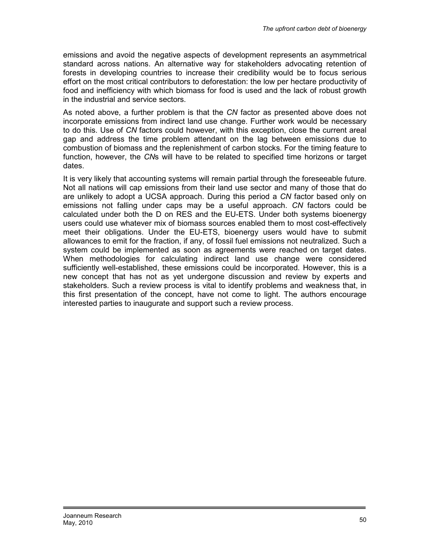emissions and avoid the negative aspects of development represents an asymmetrical standard across nations. An alternative way for stakeholders advocating retention of forests in developing countries to increase their credibility would be to focus serious effort on the most critical contributors to deforestation: the low per hectare productivity of food and inefficiency with which biomass for food is used and the lack of robust growth in the industrial and service sectors.

As noted above, a further problem is that the *CN* factor as presented above does not incorporate emissions from indirect land use change. Further work would be necessary to do this. Use of *CN* factors could however, with this exception, close the current areal gap and address the time problem attendant on the lag between emissions due to combustion of biomass and the replenishment of carbon stocks. For the timing feature to function, however, the *CN*s will have to be related to specified time horizons or target dates.

It is very likely that accounting systems will remain partial through the foreseeable future. Not all nations will cap emissions from their land use sector and many of those that do are unlikely to adopt a UCSA approach. During this period a *CN* factor based only on emissions not falling under caps may be a useful approach. *CN* factors could be calculated under both the D on RES and the EU-ETS. Under both systems bioenergy users could use whatever mix of biomass sources enabled them to most cost-effectively meet their obligations. Under the EU-ETS, bioenergy users would have to submit allowances to emit for the fraction, if any, of fossil fuel emissions not neutralized. Such a system could be implemented as soon as agreements were reached on target dates. When methodologies for calculating indirect land use change were considered sufficiently well-established, these emissions could be incorporated. However, this is a new concept that has not as yet undergone discussion and review by experts and stakeholders. Such a review process is vital to identify problems and weakness that, in this first presentation of the concept, have not come to light. The authors encourage interested parties to inaugurate and support such a review process.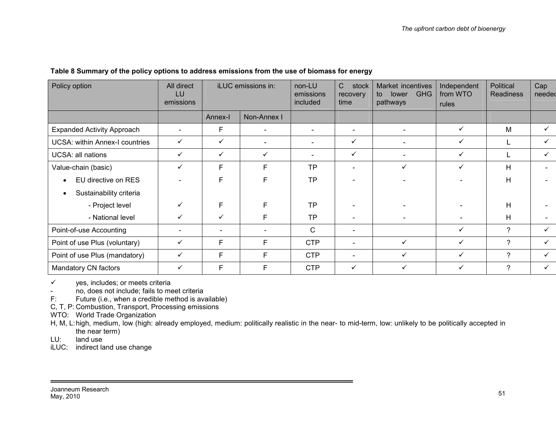| Policy option                         | All direct<br>LU<br>emissions |                              | iLUC emissions in: | non-LU<br>emissions<br>included | C.<br>stock<br>recovery<br>time | Market incentives<br><b>GHG</b><br>lower<br>to<br>pathways | Independent<br>from WTO<br>rules | Political<br><b>Readiness</b> | Cap<br>needed |
|---------------------------------------|-------------------------------|------------------------------|--------------------|---------------------------------|---------------------------------|------------------------------------------------------------|----------------------------------|-------------------------------|---------------|
|                                       |                               | Annex-I                      | Non-Annex I        |                                 |                                 |                                                            |                                  |                               |               |
| <b>Expanded Activity Approach</b>     | $\overline{\phantom{a}}$      | F.                           |                    | $\overline{\phantom{a}}$        | $\overline{\phantom{a}}$        |                                                            | ✓                                | M                             |               |
| <b>UCSA: within Annex-I countries</b> | ✓                             | $\checkmark$                 |                    |                                 | ✓                               |                                                            | ✓                                |                               |               |
| <b>UCSA: all nations</b>              | $\checkmark$                  | $\checkmark$                 | ✓                  | $\sim$                          | $\checkmark$                    | $\qquad \qquad \blacksquare$                               | $\checkmark$                     |                               |               |
| Value-chain (basic)                   | ✓                             | F                            | F                  | <b>TP</b>                       |                                 | ✓                                                          | ✓                                | H                             |               |
| EU directive on RES<br>$\bullet$      |                               | F                            | F                  | <b>TP</b>                       |                                 |                                                            |                                  | H                             |               |
| Sustainability criteria<br>$\bullet$  |                               |                              |                    |                                 |                                 |                                                            |                                  |                               |               |
| - Project level                       |                               | F                            | F                  | <b>TP</b>                       |                                 |                                                            |                                  | H                             |               |
| - National level                      | ✓                             | ✓                            | F                  | <b>TP</b>                       |                                 |                                                            |                                  | H                             |               |
| Point-of-use Accounting               | $\overline{\phantom{a}}$      | $\qquad \qquad \blacksquare$ |                    | $\mathsf{C}$                    |                                 |                                                            | ✓                                | ?                             |               |
| Point of use Plus (voluntary)         | $\checkmark$                  | F                            | F                  | <b>CTP</b>                      |                                 | $\checkmark$                                               | ✓                                | ?                             | ✓             |
| Point of use Plus (mandatory)         | $\checkmark$                  | F                            | F                  | <b>CTP</b>                      |                                 | ✓                                                          | ✓                                | ?                             |               |
| Mandatory CN factors                  | ✓                             | F                            | F                  | <b>CTP</b>                      | ✓                               | ✓                                                          | ✓                                | ?                             |               |

#### **Table 8 Summary of the policy options to address emissions from the use of biomass for energy**

 $\checkmark$  yes, includes; or meets criteria

- no, does not include; fails to meet criteria

F: Future (i.e., when a credible method is available)

C, T, P: Combustion, Transport, Processing emissions

WTO: World Trade Organization

H, M, L: high, medium, low (high: already employed, medium: politically realistic in the near- to mid-term, low: unlikely to be politically accepted in the near term)

LU: land use

iLUC: indirect land use change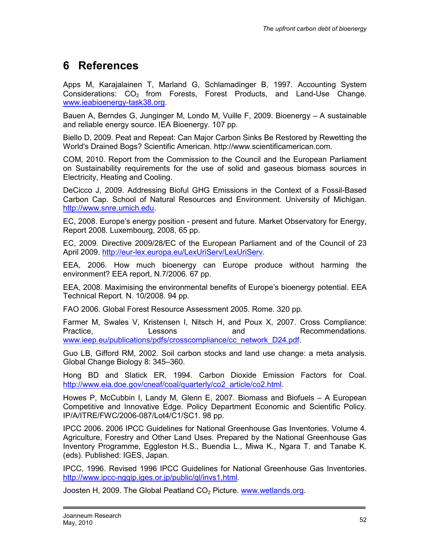## **6 References**

Apps M, Karajalainen T, Marland G, Schlamadinger B, 1997. Accounting System Considerations:  $CO<sub>2</sub>$  from Forests, Forest Products, and Land-Use Change. www.ieabioenergy-task38.org.

Bauen A, Berndes G, Junginger M, Londo M, Vuille F, 2009. Bioenergy – A sustainable and reliable energy source. IEA Bioenergy. 107 pp.

Biello D, 2009. Peat and Repeat: Can Major Carbon Sinks Be Restored by Rewetting the World's Drained Bogs? Scientific American. http://www.scientificamerican.com.

COM, 2010. Report from the Commission to the Council and the European Parliament on Sustainability requirements for the use of solid and gaseous biomass sources in Electricity, Heating and Cooling.

DeCicco J, 2009. Addressing Bioful GHG Emissions in the Context of a Fossil-Based Carbon Cap. School of Natural Resources and Environment. University of Michigan. http://www.snre.umich.edu.

EC, 2008. Europe's energy position - present and future. Market Observatory for Energy, Report 2008. Luxembourg, 2008, 65 pp.

EC, 2009. Directive 2009/28/EC of the European Parliament and of the Council of 23 April 2009. http://eur-lex.europa.eu/LexUriServ/LexUriServ.

EEA, 2006. How much bioenergy can Europe produce without harming the environment? EEA report, N.7/2006. 67 pp.

EEA, 2008. Maximising the environmental benefits of Europe's bioenergy potential. EEA Technical Report. N. 10/2008. 94 pp.

FAO 2006. Global Forest Resource Assessment 2005. Rome. 320 pp.

Farmer M, Swales V, Kristensen I, Nitsch H, and Poux X, 2007. Cross Compliance: Practice. **Lessons Lessons** and **Recommendations.** www.ieep.eu/publications/pdfs/crosscompliance/cc\_network\_D24.pdf.

Guo LB, Gifford RM, 2002. Soil carbon stocks and land use change: a meta analysis. Global Change Biology 8: 345–360.

Hong BD and Slatick ER, 1994. Carbon Dioxide Emission Factors for Coal. http://www.eia.doe.gov/cneaf/coal/quarterly/co2\_article/co2.html.

Howes P, McCubbin I, Landy M, Glenn E, 2007. Biomass and Biofuels – A European Competitive and Innovative Edge. Policy Department Economic and Scientific Policy. IP/A/ITRE/FWC/2006-087/Lot4/C1/SC1. 98 pp.

IPCC 2006. 2006 IPCC Guidelines for National Greenhouse Gas Inventories. Volume 4. Agriculture, Forestry and Other Land Uses. Prepared by the National Greenhouse Gas Inventory Programme, Eggleston H.S., Buendia L., Miwa K., Ngara T. and Tanabe K. (eds). Published: IGES, Japan.

IPCC, 1996. Revised 1996 IPCC Guidelines for National Greenhouse Gas Inventories. http://www.ipcc-nggip.iges.or.jp/public/gl/invs1.html.

Joosten H, 2009. The Global Peatland CO<sub>2</sub> Picture. www.wetlands.org.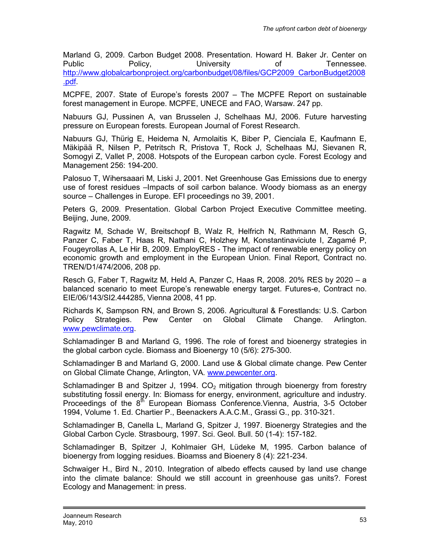Marland G, 2009. Carbon Budget 2008. Presentation. Howard H. Baker Jr. Center on Public Policy, University of Tennessee. http://www.globalcarbonproject.org/carbonbudget/08/files/GCP2009\_CarbonBudget2008 .pdf.

MCPFE, 2007. State of Europe's forests 2007 – The MCPFE Report on sustainable forest management in Europe. MCPFE, UNECE and FAO, Warsaw. 247 pp.

Nabuurs GJ, Pussinen A, van Brusselen J, Schelhaas MJ, 2006. Future harvesting pressure on European forests. European Journal of Forest Research.

Nabuurs GJ, Thürig E, Heidema N, Armolaitis K, Biber P, Cienciala E, Kaufmann E, Mäkipää R, Nilsen P, Petritsch R, Pristova T, Rock J, Schelhaas MJ, Sievanen R, Somogyi Z, Vallet P, 2008. Hotspots of the European carbon cycle. Forest Ecology and Management 256: 194-200.

Palosuo T, Wihersaaari M, Liski J, 2001. Net Greenhouse Gas Emissions due to energy use of forest residues –Impacts of soil carbon balance. Woody biomass as an energy source – Challenges in Europe. EFI proceedings no 39, 2001.

Peters G, 2009. Presentation. Global Carbon Project Executive Committee meeting. Beijing, June, 2009.

Ragwitz M, Schade W, Breitschopf B, Walz R, Helfrich N, Rathmann M, Resch G, Panzer C, Faber T, Haas R, Nathani C, Holzhey M, Konstantinaviciute I, Zagamé P, Fougeyrollas A, Le Hir B, 2009. EmployRES - The impact of renewable energy policy on economic growth and employment in the European Union. Final Report, Contract no. TREN/D1/474/2006, 208 pp.

Resch G, Faber T, Ragwitz M, Held A, Panzer C, Haas R, 2008. 20% RES by 2020 – a balanced scenario to meet Europe's renewable energy target. Futures-e, Contract no. EIE/06/143/SI2.444285, Vienna 2008, 41 pp.

Richards K, Sampson RN, and Brown S, 2006. Agricultural & Forestlands: U.S. Carbon Policy Strategies. Pew Center on Global Climate Change. Arlington. www.pewclimate.org.

Schlamadinger B and Marland G, 1996. The role of forest and bioenergy strategies in the global carbon cycle. Biomass and Bioenergy 10 (5/6): 275-300.

Schlamadinger B and Marland G, 2000. Land use & Global climate change. Pew Center on Global Climate Change, Arlington, VA. www.pewcenter.org.

Schlamadinger B and Spitzer J, 1994.  $CO<sub>2</sub>$  mitigation through bioenergy from forestry substituting fossil energy. In: Biomass for energy, environment, agriculture and industry. Proceedings of the  $8<sup>th</sup>$  European Biomass Conference. Vienna, Austria, 3-5 October 1994, Volume 1. Ed. Chartier P., Beenackers A.A.C.M., Grassi G., pp. 310-321.

Schlamadinger B, Canella L, Marland G, Spitzer J, 1997. Bioenergy Strategies and the Global Carbon Cycle. Strasbourg, 1997. Sci. Geol. Bull. 50 (1-4): 157-182.

Schlamadinger B, Spitzer J, Kohlmaier GH, Lüdeke M, 1995. Carbon balance of bioenergy from logging residues. Bioamss and Bioenery 8 (4): 221-234.

Schwaiger H., Bird N., 2010. Integration of albedo effects caused by land use change into the climate balance: Should we still account in greenhouse gas units?. Forest Ecology and Management: in press.